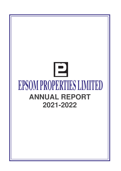# **EPSOM PROPERTIES LIMITED ANNUAL REPORT 2021-2022**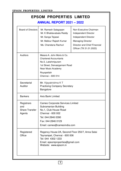# **EPSOM PROPERTIES LIMITED**

# **ANNUAL REPORT 2021 – 2022**

| <b>Board of Directors</b>                            | Mr. Ramesh Satagopan<br>Mr. K Bhaktavatsala Reddy<br>Mr. Sanga Tejaswi<br>Mr. Mallour Rajesh Kumar<br>Ms. Chandana Rachuri                                                               | Non-Executive Chairman<br>Independent Director<br>Independent Director<br><b>Managing Director</b><br>Director and Chief Financial<br>Officer (Till 31.01.2022) |  |
|------------------------------------------------------|------------------------------------------------------------------------------------------------------------------------------------------------------------------------------------------|-----------------------------------------------------------------------------------------------------------------------------------------------------------------|--|
| <b>Auditors</b>                                      | Messrs A. John Moris & Co.<br><b>Chartered Accountants</b><br>No.5, Lakshmipuram<br>1st Street, Deivasigamani Road<br>Near Music Academy<br>Royapettah<br>Chennai - 600 014              |                                                                                                                                                                 |  |
| Secretarial<br>Auditor                               | Mr. Vijayakrishna KT<br><b>Practising Company Secretary</b><br>Bangalore                                                                                                                 |                                                                                                                                                                 |  |
| <b>Bankers</b>                                       | <b>Axis Bank Limited</b>                                                                                                                                                                 |                                                                                                                                                                 |  |
| Registrars<br>and<br><b>Share Transfer</b><br>Agents | <b>Cameo Corporate Services Limited</b><br>Subramanian Building<br>No.1, Club House Road<br>Chennai - 600 002<br>Tel: 044 2846 0390<br>Fax: 044 2846 0129<br>Email: cameo@cameoindia.com |                                                                                                                                                                 |  |
| Registered<br>Office                                 | Regency House 2A, Second Floor 250/7, Anna Salai<br>Teynampet, Chennai - 600 006<br>Tel: 044 4302 1233<br>Email: epsomproperties@gmail.com<br>Website: www.epsom.in                      |                                                                                                                                                                 |  |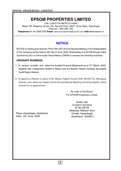CIN: L24231TN1987PLC014084 Regd. Off: Regency House, 2A, Second Floor, 250/7, Anna Salai, Teynampet Chennai – 600 006 (TN)

**Telephone**:91-44 43021233 **Email**: epsomproperties@gmail.com **web**:www.epsom.in

# **NOTICE**

NOTICE is hereby given that the Thirty Fifth (35<sup>th</sup>) Annual General Meeting of the Shareholders of the Company will be held on 29<sup>th</sup> day of June, 2022, Wednesday at 4.00 PM through Video Conference (VC) or Other Audio Visual Means (OAVM) to transact the following business:-

## **ORDINARY BUSINESS:**

- 1. To receive, consider and adopt the Audited Financial Statements as at 31<sup>st</sup> March, 2022, together with Independent Auditor's Report and the Board's Report including Secretarial Audit Report thereon.
- 2. To appoint a Director in place of Mr. Mallour Rajesh Kumar (DIN: 08125774), Managing Director, who retires by rotation at this Annual General Meeting and being eligible, offers himself for re-appointment.

By order of the Board For EPSOM Properties Limited

Surbhi Jain

Company Secretary M. No 58109 [Address: Mahesh Soni Chowk, Hazaribagh Jharkhand - 825301]

Place: Hazaribagh, Jharkhand Date: 03rd June, 2022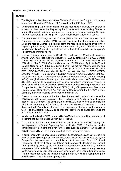## **NOTES:**

- 1. The Register of Members and Share Transfer Books of the Company will remain closed from Thursday, 23<sup>rd</sup> June, 2022 to Wednesday, 29<sup>th</sup> June, 2022.
- 2. Members holding Shares in electronic form are requested to intimate any change in address to their respective Depository Participants and those holding Shares in physical form are to intimate the above said changes to Cameo Corporate Services Limited, 'Subramanian Building', No.1, Club House Road, Chennai - 600002.
- 3. The Securities Exchange Board of India (SEBI) has mandated submission of Permanent Account Number (PAN) by every participant in the securities market. Members holding Shares in electronic form are requested to submit PAN to their Depository Participant(s) with whom they are maintaining their DEMAT accounts. Members holding Shares in physical form can submit their details to the Company's Registrar and Transfer Agent.
- 4. In view of disruptions caused by COVID-19 pandemic, the Ministry of Corporate Affairs (MCA) has, vide General Circular No. 2/2022 dated May 5, 2022, General Circular No. Circular No. 19/2021 dated December 8, 2021, General Circular No. 20/ 2020 dated May 5, 2020, General Circular No. 17/2020 dated April 13, 2020 and General Circular No.14/2020 dated April 8, 2020 (collectively "MCA Circulars"), and Securities and Exchange Board of India ("SEBI") vide its Circular no. SEBI/HO/CFD/ CMD1/CIR/P/2020/79 dated May 12, 2020 read with Circular no. SEBI/HO/CFD/ CMD2/CIR/P/2021/11 dated January 15, 2021 and SEBI/HO/CFD/CMD2/CIR/P/2022/ 62 dated May 13, 2022 permitted companies to conduct Annual General Meeting (AGM) through video conferencing or other audio visual means (VC) till December 31, 2022, subject to compliance with various conditions mentioned therein. In compliance with the MCA Circulars, SEBI Circulars and applicable provisions of the Companies Act, 2013 ("the Act") and SEBI (Listing Obligations and Disclosure Requirements) Regulations, 2015 ("the Listing Regulations") the 35th AGM of your Company is being convened and conducted through VC.
- 5. Pursuant to the provisions of the Act, a Member entitled to attend and vote at the AGM is entitled to appoint a proxy to attend and vote on his/her behalf and the proxy need not be a Member of the Company. Since this AGM is being held pursuant to the MCA Circulars through VC / OAVM, physical attendance of Members has been dispensed with. Accordingly, the facility for appointment of proxies by the Members will not be available for the AGM and hence the Proxy Form and Attendance Slip are not annexed to this Notice.
- 6. Members attending the AGM through VC / OAVM shall be counted for the purpose of reckoning the quorum under Section 103 of theAct.
- 7. The Company has facilitated the members to participate in the 35<sup>th</sup> AGM through VC facility provided by Central Depository Services Limited (CDSL). The instructions for participation by members are given in the subsequent paragraphs. Participation in AGM through VC shall be allowed on a first-come-first-served basis.
- 8. In compliance with the provisions of Section 108 of Companies Act, 2013 read with the Companies (Management and Administration) Rules, 2014 as substituted by the Companies (Management and Administration) Amendment Rules, 2015 and Regulation 44 of the Listing Regulations and Secretarial Standards on General Meetings (SS-2) issued by the Institute of Company Secretaries of India, Members are provided with the facility to cast their vote by electronic means through e-voting platform provided by CDSL for remote e-voting as well as e-voting during the AGM. The procedure for using the remote e-voting facility as well as e-voting during the AGM is given in the subsequent paragraphs.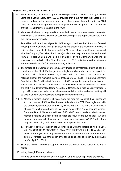- 9. Members joining the AGM through VC shall be permitted to exercise their right to vote using the e-voting facility at the AGM, provided they have not cast their votes using remote e-voting facility. Members who have already cast their votes prior to AGM using the remote e-voting facility may also join the AGM though VC, but shall not be entitled to cast their votes again at the AGM.
- 10. Members who have not registered their email address so far, are requested to register their email IDs for receiving all communications including Annual Report, Notices etc. from the Company electronically.
- 11. Annual Report for the financial year 2021-22 along with Notice of the  $35<sup>th</sup>$  Annual General Meeting of the Company *inter alia* indicating the process and manner of e-Voting is being sent only through electronic mode to the Members whose email IDs are registered with the Company/Depository Participant(s). Members may note that the Notice and Annual Report 2021-22 will also be available on the Company's website at www.epsom.in, website of the Stock Exchange i.e. BSE Limited at www.bseindia.com and on the website of CDSL at www.evotingindia.com.
- 12. The Shares of the Company are compulsorily traded in dematerialized form as per the directions of the Stock Exchange. Accordingly, members who have not opted for dematerialization of shares are once again reminded to take steps to dematerialize their holdings. Further, the members may note that as per SEBI (LODR) (Fourth Amendment) Regulations, 2018, with effect from April 1, 2019, except in case of transmission or transposition of securities, no transfer of securities shall be processed unless the securities are held in the dematerialized form. Accordingly, Shareholders holding Equity Shares in physical form are urged to have their shares dematerialized at the earliest so that they will be able to transfer them freely and participate in corporate actions.
- 13. a. Members holding Shares in physical mode are required to submit their Permanent Account Number (PAN) and bank account details to the RTA, if not registered with the Company, as mandated by SEBI by writing to the RTA at along with the details of folio no., self-attested copy of PAN card, bank details (Bank account number, Bank and Branch Name and address, IFSC, MICR details) and cancelled cheque. Members holding Shares in electronic mode are requested to submit their PAN and bank account details to their respective Depository Participants ("DPs") with whom they are maintaining their demat accounts to update the same.
	- b. Pursuant to circular issued by the Securities and Exchange Board of India (SEBI), vide No. SEBI/HO/MIRSD/MIRSD\_RTAMB/P/CIR/2021/655 dated November 03, 2021. If the physical security holders do not comply with the above norms on or before 31st March, 2023 then such physical holdings shall be frozen by the RTA on or after April 01, 2023.
- 14. Since the AGM will be held through VC / OAVM, the Route Map is not annexed in this Notice.
- 15. Voting through Electronic Means:

In compliance with the provisions of Section 108 and other applicable provisions, if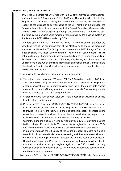any, of the Companies Act, 2013 read with Rule 20 of the Companies (Management and Administration) Amendment Rules, 2015 and Regulation 44 of the Listing Regulations, Company is providing the facility of remote e-voting to its Members in respect of the business to be transacted at the  $35<sup>th</sup>$  AGM. For this purpose, the Company has entered into an agreement with Central Depository Services (India) Limited (CDSL) for facilitating voting through electronic means. The facility to cast the votes by the members using remote e-voting as well as the e-voting system on the date of the AGM will be provided by CDSL.

Members can join the AGM through VC mode 15 minutes before and after the scheduled time of the commencement of the Meeting by following the procedure mentioned in this Notice. The facility of participation at the AGM through VC will be made available to at least 1000 members on first come first served basis. This will not include large Shareholders (Shareholders holding 2% or more shareholding), Promoters, Institutional Investors, Directors, Key Managerial Personnel, the Chairpersons of the Audit Committee, Nomination and Remuneration Committee and Stakeholders' Relationship Committee, Auditors etc. who are allowed to attend the AGM without restrictions.

The instructions for Members for remote e-voting are as under:

- (i) The voting period begins on  $25<sup>th</sup>$  June, 2022 at 9.00 AM and ends on  $28<sup>th</sup>$  June, 2022 at 5.00 PM. During this period, Shareholders of the Company, holding shares either in physical form or in dematerialized form, as on the cut-off date (record date) of 22nd June, 2022 may cast their vote electronically. The e-voting module shall be disabled by CDSL for voting thereafter.
- (ii) Shareholders who have already voted prior to the meeting date would not be entitled to vote at the meeting venue.
- (iii) Pursuant to SEBI Circular No. SEBI/HO/CFD/CMD/CIR/P/2020/242 dated December 9, 2020, under Regulation 44 of the Listing Regulations, Listed Entities are required to provide remote e-voting facility to its shareholders, in respect of all shareholders' resolutions. However, it has been observed that the participation by the public noninstitutional shareholders/retail shareholders is at a negligible level. Currently, there are multiple e-voting service providers (ESPs) providing e-voting facility to Listed Entities in India. This necessitates registration on various ESPs and maintenance of multiple user IDs and passwords by the Shareholders. In order to increase the efficiency of the voting process, pursuant to a public consultation, it has been decided to enable e-voting to all the demat account holders, by way of a single login credential, through their demat accounts/ websites of Depositories/ Depository Participants. Demat account holders would be able to cast their vote without having to register again with the ESPs, thereby, not only facilitating seamless authentication, but also enhancing ease and convenience of participating in e-voting process.
- (iv) In terms of SEBI circular no. SEBI/HO/CFD/CMD/CIR/P/2020/242 dated December 9,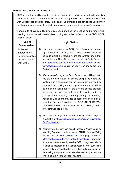2020 on e-Voting facility provided by Listed Companies, Individual shareholders holding securities in demat mode are allowed to vote through their demat account maintained with Depositories and Depository Participants. Shareholders are advised to update their mobile number and email Id in their demat accounts in order to access e-Voting facility.

Pursuant to above said SEBI Circular, Login method for e-Voting and joining virtual meetings for Individual shareholders holding securities in Demat mode CDSL/NSDL is given below:

| Type of<br><b>Shareholders</b>                                                 | <b>Login Method</b>                                                                                                                                                                                                                                                                                                                                                                                                                                                                                                                                                                                                                                                |
|--------------------------------------------------------------------------------|--------------------------------------------------------------------------------------------------------------------------------------------------------------------------------------------------------------------------------------------------------------------------------------------------------------------------------------------------------------------------------------------------------------------------------------------------------------------------------------------------------------------------------------------------------------------------------------------------------------------------------------------------------------------|
| Individual<br>Shareholders<br>holding securities<br>in Demat mode<br>with CDSL | 1) Users who have opted for CDSL Easi / Easiest facility, can<br>login through their existing user id and password. Option will<br>be made available to reach e-Voting page without any further<br>authentication. The URL for users to login to Easi / Easiest<br>are https://web.cdslindia.com/myeasi/home/login or visit<br>www.cdslindia.com and click on Login icon and select New<br>System Myeasi.                                                                                                                                                                                                                                                          |
|                                                                                | After successful login, the Easi / Easiest user will be able to<br>2)<br>see the e-Voting option for eligible companies where the<br>evoting is in progress as per the information provided by<br>company. On clicking the evoting option, the user will be<br>able to see e-Voting page of the e-Voting service provider<br>for casting their vote during the remote e-Voting period or<br>joining virtual meeting & voting during the meeting.<br>Additionally, links are provided to access the system of all<br>e-Voting Service Providers i.e. CDSL/NSDL/KARVY/<br>LINKINTIME, so that the user can visit the e-Voting service<br>providers website directly. |
|                                                                                | If the user is not registered for Easi/Easiest, option to register<br>3)<br>is available at https://web.cdslindia.com/myeasi/Registration/<br><b>EasiRegistration.</b>                                                                                                                                                                                                                                                                                                                                                                                                                                                                                             |
|                                                                                | Alternatively, the user can directly access e-Voting page by<br>4)<br>providing Demat Account Number and PAN No. from a e-Voting<br>link available on www.cdslindia.com home page or click on<br>https://evoting.cdslindia.com/Evoting/EvotingLogin. The system<br>will authenticate the user by sending OTP on registered Mobile<br>& Email as recorded in the Demat Account. After successful<br>authentication, user will be able to see the e-Voting option where<br>the evoting is in progress and also able to directly access the<br>system of all e-Voting Service Providers.                                                                              |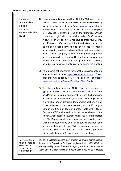| Individual<br>Shareholders<br>holding<br>securities in<br>demat mode with<br><b>NSDL</b> | 1) If you are already registered for NSDL IDeAS facility, please<br>visit the e-Services website of NSDL. Open web browser by<br>typing the following URL: https://eservices.nsdl.com either on<br>a Personal Computer or on a mobile. Once the home page<br>of e-Services is launched, click on the "Beneficial Owner"<br>icon under "Login" which is available under 'IDeAS' section.<br>A new screen will open. You will have to enter your User ID<br>and Password. After successful authentication, you will be<br>able to see e-Voting services. Click on "Access to e-Voting"<br>under e-Voting services and you will be able to see e-Voting<br>page. Click on company name or e-Voting service provider<br>name and you will be re-directed to e-Voting service provider<br>website for casting your vote during the remote e-Voting<br>period or joining virtual meeting & voting during the meeting. |
|------------------------------------------------------------------------------------------|-----------------------------------------------------------------------------------------------------------------------------------------------------------------------------------------------------------------------------------------------------------------------------------------------------------------------------------------------------------------------------------------------------------------------------------------------------------------------------------------------------------------------------------------------------------------------------------------------------------------------------------------------------------------------------------------------------------------------------------------------------------------------------------------------------------------------------------------------------------------------------------------------------------------|
|                                                                                          | If the user is not registered for IDeAS e-Services, option to<br>2)<br>register is available at https://eservices.nsdl.com. Select<br>"Register Online for IDeAS "Portal or click<br>at https://<br>eservices.nsdl.com/SecureWeb/IdeasDirectReg.jsp.                                                                                                                                                                                                                                                                                                                                                                                                                                                                                                                                                                                                                                                            |
|                                                                                          | Visit the e-Voting website of NSDL. Open web browser by<br>3)<br>typing the following URL: https://www.evoting.nsdl.com/either<br>on a Personal Computer or on a mobile. Once the home page<br>of e-Voting system is launched, click on the icon "Login" which<br>is available under 'Shareholder/Member' section. A new<br>screen will open. You will have to enter your User ID (i.e. your<br>sixteen digit demat account number hold with NSDL),<br>Password/OTP and a Verification Code as shown on the<br>screen. After successful authentication, you will be redirected<br>to NSDL Depository site wherein you can see e-Voting page.<br>Click on company name or e-Voting service provider name<br>and you will be redirected to e-Voting service provider website<br>for casting your vote during the remote e-Voting period or<br>joining virtual meeting & voting during the meeting.                |
| Individual Share-<br>holders (holding<br>securities in<br>demat mode)<br>login through   | You can also login using the login credentials of your demat account<br>through your Depository Participant registered with NSDL/CDSL for<br>e-Voting facility. After Successful login, you will be able to see e-<br>Voting option. Once you click on e-Voting option, you will be redirected                                                                                                                                                                                                                                                                                                                                                                                                                                                                                                                                                                                                                  |

**7**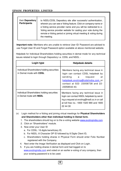| their Depository<br><b>Participants</b> |
|-----------------------------------------|

**Important note:** Members who are unable to retrieve User ID/ Password are advised to use Forget User ID and Forget Password option available at above mentioned website.

Helpdesk for Individual Shareholders holding securities in demat mode for any technical issues related to login through Depository i.e. CDSL and NSDL -

| Login type                                                                   | <b>Helpdesk details</b>                                                                                                                                                                            |
|------------------------------------------------------------------------------|----------------------------------------------------------------------------------------------------------------------------------------------------------------------------------------------------|
| Individual Shareholders holding securities<br>in Demat mode with CDSL        | Members facing any technical issue in<br>login can contact CDSL helpdesk by<br>sending a<br>at<br>request<br>helpdesk.evoting@cdslindia.com or<br>contact at 022- 23058738 and 22-<br>23058542-43. |
| Individual Shareholders holding securities<br>in Demat mode with <b>NSDL</b> | Members facing any technical issue in<br>login can contact NSDL helpdesk by send-<br>ing a request at evoting@nsdl.co.in or call<br>at toll free no.: 1800 1020 990 and 1800<br>22 44 30           |

- (v) Login method for e-Voting and joining virtual meetings for **Physical Shareholders and Shareholders other than individual holding in Demat form.**
	- 1. The shareholders should log on to the e-voting website www.evotingindia.com.
	- 2. Click on "Shareholders" module.
	- 3. Now enter your User ID
		- a. For CDSL: 16 digits beneficiary ID,
		- b. For NSDL: 8 Character DP ID followed by 8 Digits Client ID,
		- c. Shareholders holding shares in Physical Form should enter Folio Number registered with the Company.
	- 4. Next enter the Image Verification as displayed and Click on Login.
	- 5. If you are holding shares in demat form and had logged on to www.evotingindia.com and voted on an earlier e-voting of any company, then your existing password is to be used.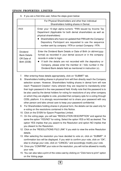| 6. If you are a first-time user, follow the steps given below:      |                                                                                                                                                                                                                                                                                                                                                            |  |
|---------------------------------------------------------------------|------------------------------------------------------------------------------------------------------------------------------------------------------------------------------------------------------------------------------------------------------------------------------------------------------------------------------------------------------------|--|
|                                                                     | For Physical Shareholders and other than individual<br>Shareholders holding shares in Demat.                                                                                                                                                                                                                                                               |  |
| <b>PAN</b>                                                          | Enter your 10-digit alpha-numeric *PAN issued by Income Tax<br>Department (Applicable for both demat shareholders as well as<br>physical shareholders)<br>Shareholders who have not updated their PAN with the Company/<br>$\bullet$<br>Depository Participant are requested to use the sequence<br>number sent by company / RTA or contact Company / RTA. |  |
| <b>Dividend</b><br><b>Bank Details</b><br>OR Date of<br>Birth (DOB) | Enter the Dividend Bank Details or Date of Birth (in dd/mm/yyyy<br>format) as recorded in your demat account or in the company<br>records in order to login.<br>If both the details are not recorded with the depository or<br>Company, please enter the member id / folio number in the<br>Dividend Bank details field as mentioned in instruction (v).   |  |

- 7. After entering these details appropriately, click on "SUBMIT" tab.
- 8. Shareholders holding shares in physical form will then directly reach the Company selection screen. However, Shareholders holding shares in demat form will now reach 'Password Creation' menu wherein they are required to mandatorily enter their login password in the new password field. Kindly note that this password is to be also used by the demat holders for voting for resolutions of any other company on which they are eligible to vote, provided that company opts for e-voting through CDSL platform. It is strongly recommended not to share your password with any other person and take utmost care to keep your password confidential.
- 9. For Shareholders holding shares in physical form, the details can be used only for e-voting on the resolutions contained in this Notice.
- 10. Click on the EVSN for Epsom Properties Limited.
- 11. On the voting page, you will see "RESOLUTION DESCRIPTION" and against the same the option "YES/NO" for voting. Select the option YES or NO as desired. The option YES implies that you assent to the Resolution and option NO implies that you dissent to the Resolution.
- 12. Click on the "RESOLUTIONS FILE LINK" if you wish to view the entire Resolution details.
- 13. After selecting the resolution you have decided to vote on, click on "SUBMIT". A confirmation box will be displayed. If you wish to confirm your vote, click on "OK", else to change your vote, click on "CANCEL" and accordingly modify your vote.
- 14. Once you "CONFIRM" your vote on the resolution, you will not be allowed to modify your vote.
- 15. You can also take a print of the votes cast by clicking on "Click here to print" option on the Voting page.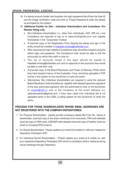- 16. If a demat account holder has forgotten the login password then Enter the User ID and the image verification code and click on Forgot Password & enter the details as prompted by the system.
- **17. Additional Facility for Non Individual Shareholders and Custodians -For Remote Voting only.**
	- Non-Individual shareholders (i.e. other than Individuals, HUF, NRI etc.) and Custodians are required to log on to www.evotingindia.com and register themselves in the "Corporates" module.
	- A scanned copy of the Registration Form bearing the stamp and sign of the entity should be emailed to helpdesk.evoting@cdslindia.com.
	- After receiving the login details a Compliance User should be created using the admin login and password. The Compliance User would be able to link the account(s) for which they wish to vote on.
	- The list of accounts linked in the login should be mailed to helpdesk.evoting@cdslindia.com and on approval of the accounts they would be able to cast their vote.
	- A scanned copy of the Board Resolution and Power of Attorney (POA) which they have issued in favour of the Custodian, if any, should be uploaded in PDF format in the system for the scrutinizer to verify the same.
	- Alternatively, Non Individual shareholders are required to send the relevant Board Resolution/ Authority letter etc. together with attested specimen signature of the duly authorized signatory who are authorized to vote, to the Scrutinizer at vijaykt@vjkt.in and to the Company at the email address viz; epsomproperties@gmail.com, if they have voted from individual tab & not uploaded same in the CDSL e-voting system for the Scrutinizer to verify the same.

# **PROCESS FOR THOSE SHAREHOLDERS WHOSE EMAIL ADDRESSES ARE NOT REGISTERED WITH THE COMPANY/DEPOSITORIES:**

- 1. For Physical Shareholders please provide necessary details like Folio No., Name of shareholder, scanned copy of the share certificate (front and back), PAN (self-attested scanned copy of PAN card), AADHAR (self-attested scanned copy of Aadhar Card) by email to Company/RTA email id.
- 2. For Demat Shareholders Please update your email id & mobile no. with your respective Depository Participant (DP).
- 3. For Individual Demat Shareholders Please update your email id & mobile no. with your respective Depository Participant (DP) which is mandatory while e-Voting & joining virtual meetings through Depository.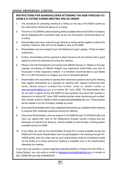# **INSTRUCTIONS FOR SHAREHOLDERS ATTENDING THE AGM THROUGH VC/ OAVM & E-VOTING DURING MEETING ARE AS UNDER**:

- 1. The procedure for attending meeting & e-Voting on the day of the AGM is same as the instructions mentioned above for e-voting.
- 2. The link for VC/OAVM to attend meeting will be available where the EVSN of Company will be displayed after successful login as per the instructions mentioned above for e-voting.
- 3. Shareholders who have voted through Remote e-Voting will be eligible to attend the meeting. However, they will not be eligible to vote at the AGM.
- 4. Shareholders are encouraged to join the Meeting through Laptops / IPads for better experience.
- 5. Further, shareholders will be required to allow Camera and use Internet with a good speed to avoid any disturbance during the meeting.
- 6. Please note that Participants Connecting from Mobile Devices or Tablets or through Laptops connecting via Mobile Hotspot may experience Audio/Video loss due to Fluctuation in their respective network. It is therefore recommended to use Stable Wi-Fi or LAN Connection to mitigate any kind of aforesaid glitches.
- 7. Shareholders who would like to express their views/ask questions during the meeting may register themselves as a speaker by sending their request mentioning their name, demat account number/folio number, email id, mobile number at epsomproperties@gmail.com on or before 22<sup>nd</sup> June, 2022. The shareholders who do not wish to speak during the AGM but have queries may send their queries in advance on or before 22<sup>nd</sup> June, 2022 mentioning their name, demat account number/ folio number, email id, mobile number at epsomproperties@gmail.com. These queries will be replied to by the Company suitably by email.
- 8. Only those Shareholders who have registered themselves as a speaker will be allowed to express their views/ask questions during the meeting.
- 9. Only those Shareholders, who are present in the AGM through VC/OAVM facility and have not casted their vote on the Resolutions through remote e-Voting and are otherwise not barred from doing so, shall be eligible to vote through e-Voting system available during the AGM.
- 10. If any Votes are cast by the shareholders through the e-voting available during the AGM and if the same shareholders have not participated in the meeting through VC/ OAVM facility, then the votes cast by such shareholders shall be considered invalid as the facility of e-voting during the meeting is available only to the shareholders attending the meeting.

If you have any queries or issues regarding attending AGM & e-Voting from the CDSL e-Voting System, you can write an email to **helpdesk.evoting@cdslindia.com** or contact at 022- 23058738 and 022-23058542/43.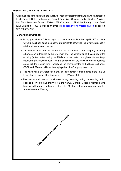All grievances connected with the facility for voting by electronic means may be addressed to Mr. Rakesh Dalvi, Sr. Manager, Central Depository Services (India) Limited, A Wing, 25<sup>th</sup> Floor, Marathon Futurex, Mafatlal Mill Compounds, N M Joshi Marg, Lower Parel (East), Mumbai - 400013 or send an email to helpdesk.evoting@cdslindia.com or call on 022-23058542/43.

# **General instructions:**

- a) Mr. Vijayakrishna K T, Practising Company Secretary (Membership No. FCS 1788 & CP 980) has been appointed as the Scrutinizer to scrutinize the e-voting process in a fair and transparent manner.
- b) The Scrutinizer will submit his report to the Chairman of the Company or to any other person authorized by the Chairman after the completion of the scrutiny of the e-voting (votes casted during the AGM and votes casted through remote e-voting), not later than 2 working days from the conclusion of the AGM. The result declared along with the Scrutinizer's Report shall be communicated to the Stock Exchange, CDSL and RTA and will also be displayed on the Company's website.
- c) The voting rights of Shareholders shall be in proportion to their Shares of the Paid-up Equity Share Capital of the Company as on 22nd June, 2022.
- d) Members who did not cast their vote through e-voting during the e-voting period shall be allowed to cast their vote at the Annual General Meeting. Members who have voted through e-voting can attend the Meeting but cannot vote again at the Annual General Meeting.

**This space is intentionally left blank**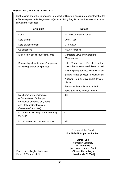Brief resume and other information in respect of Directors seeking re-appointment at the AGM as required under Regulation 36(3) of the Listing Regulations and Secretarial Standard on General Meetings:

| <b>Particulars</b>                                                                                                                                | <b>Details</b>                                                                |
|---------------------------------------------------------------------------------------------------------------------------------------------------|-------------------------------------------------------------------------------|
| Name                                                                                                                                              | Mr. Mallour Rajesh Kumar                                                      |
| Date of Birth                                                                                                                                     | 09.06.1985                                                                    |
| Date of Appointment                                                                                                                               | 21.03.2020                                                                    |
| Qualifications                                                                                                                                    | <b>MBA</b> in Finance                                                         |
| Expertise in specific functional area                                                                                                             | <b>Corporate Laws and Corporate</b><br>Management                             |
| Directorships held in other Companies<br>(excluding foreign companies)                                                                            | Ultra Vedic Cares Private Limited<br>Neeharika Infrastructure Private Limited |
|                                                                                                                                                   | <b>NVS Shipping Services Private Limited</b>                                  |
|                                                                                                                                                   | Srikara Fincap Services Private Limited                                       |
|                                                                                                                                                   | <b>Agarwal Reality Developers Private</b><br>Limited                          |
|                                                                                                                                                   | Terravana Seeds Private Limited                                               |
|                                                                                                                                                   | Terravana Nutra Private Limited                                               |
| Membership/Chairmanships<br>of Committees of other public<br>companies (included only Audit<br>and Stakeholder/ Investors<br>Grievance Committee) | <b>NIL</b>                                                                    |
| No. of Board Meetings attended during<br>the year                                                                                                 | 4                                                                             |
| No. of Shares held in the Company                                                                                                                 | <b>NIL</b>                                                                    |

By order of the Board **For EPSOM Properties Limited**

> **Surbhi Jain** Company Secretary M. No 58109 [Address: Mahesh Soni Chowk, Hazaribagh Jharkhand - 825301]

Place: Hazaribagh, Jharkhand Date: 03rd June, 2022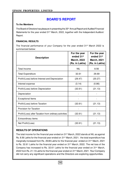# **BOARD'S REPORT**

#### **To the Members**

The Board of Directors has pleasure in presenting the 35<sup>th</sup> Annual Report and Audited Financial Statements for the year ended 31<sup>st</sup> March, 2022, together with the Independent Auditors' Report.

#### **FINANCIAL RESULTS**

The financial performance of your Company for the year ended 31<sup>st</sup> March 2022 is summarized below:

| <b>Description</b>                                    | For the year<br>ended 31st<br><b>March, 2022</b><br>(Rs. in Lakhs) | For the year<br>ended 31st<br><b>March, 2021</b><br>(Rs. in Lakhs) |
|-------------------------------------------------------|--------------------------------------------------------------------|--------------------------------------------------------------------|
| <b>Total Income</b>                                   | <b>NIL</b>                                                         | 8.56                                                               |
| <b>Total Expenditure</b>                              | 32.61                                                              | 29.69                                                              |
| Profit/(Loss) before Interest and Depreciation        | (29.47)                                                            | (20.27)                                                            |
| Interest expense                                      | (3.14)                                                             | (0.86)                                                             |
| Profit/(Loss) before Depreciation                     | (32.61)                                                            | (21.13)                                                            |
| Depreciation                                          |                                                                    |                                                                    |
| <b>Exceptional Items</b>                              |                                                                    |                                                                    |
| Profit/(Loss) before Taxation                         | (32.61)                                                            | (21.13)                                                            |
| <b>Provision for Taxation</b>                         |                                                                    |                                                                    |
| Profit/(Loss) after Taxation from ordinary activities | (32.61)                                                            | (21.13)                                                            |
| <b>Extraordinary items</b>                            |                                                                    |                                                                    |
| Net Profit/(Loss)                                     | (32.61)                                                            | (21.13)                                                            |

# **RESULTS OF OPERATIONS**

The total income for the financial year ended on 31<sup>st</sup> March, 2022 stands at NIL as against Rs. 8.56 Lakhs for the financial year ended on 31<sup>st</sup> March, 2021; the total expenditure has marginally increased from Rs. 29.69 Lakhs for the financial year ended on 31<sup>st</sup> March, 2021 to Rs. 32.61 Lakhs for the financial year ended on 31<sup>st</sup> March, 2022. The net loss of the Company has increased to Rs. 32.61 Lakhs for the financial year ended on 31<sup>st</sup> March, 2022 from Rs. 21.13 Lakhs for the financial year ended on 31<sup>st</sup> March, 2021. Your Company did not carry any significant operations and the Directors are exploring opportunities.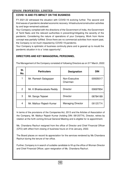.

# **COVID 19 AND ITS IMPACT ON THE BUSINESS**

FY 2021-22 witnessed the situation with COVID-19 evolving further. The second and third waves of pandemic derailed economic recovery. Infrastructure/construction activities by and large remained subdued.

Your Company complied with the directions of the Government of India, the Government of Tamil Nadu and the relevant authorities in preventing/mitigating the severity of the pandemic. Considering the nature of operations of your Company, Work from Home concept was partially fulfilled. Since there are no commercial activities from recent past, the Company is not much impacted by COVID-19 pandemic.

Your Company is optimistic of business continuity plans and is geared up to mould the pandemic situation in to a "crisis opportunity".

# **DIRECTORS AND KEY MANAGERIAL PERSONNEL**

| SI.<br>No.     | <b>Particulars</b>        | <b>Designation</b>        | <b>DIN</b> |
|----------------|---------------------------|---------------------------|------------|
|                | Mr. Ramesh Satagopan      | Non-Executive<br>Chairman | 00935017   |
| $\overline{2}$ | Mr. K Bhaktavatsala Reddy | <b>Director</b>           | 00697854   |
| 3              | Mr. Sanga Tejaswi         | <b>Director</b>           | 08784189   |
| $\overline{4}$ | Mr. Mallour Rajesh Kumar  | <b>Managing Director</b>  | 08125774   |

The Management of the Company consisted of following Directors as on 31<sup>st</sup> March, 2022:

In terms of the provisions of the Companies Act, 2013 and the Articles of Association of the Company, Mr. Mallour Rajesh Kumar (holding DIN: 08125774), Director, retires by rotation at the forth coming Annual General Meeting and is eligible for re appointment.

Ms. Chandana Rachuri resigned from the office of Director and Chief Financial Officer (CFO) with effect from closing of business hours on 31st January, 2022.

The Board places on record its appreciation for the services rendered by Ms Chandana Rachuri during the tenure of her office.

Further, Company is in search of suitable candidate to fill up the office of Woman Director and Chief Financial Officer, upon resignation of Ms. Chandana Rachuri.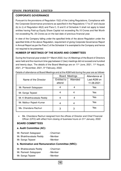# **CORPORATE GOVERNANCE**

Pursuant to the provisions of Regulation 15(2) of the Listing Regulations, Compliance with the Corporate Governance provisions as specified in the Regulations 17 to 27 and clause (b) to (i) of Regulation 46(2) and Para C, D and E of Schedule V shall not apply to listed entities having Paid-up Equity Share Capital not exceeding Rs.10 Crores and Net Worth not exceeding Rs. 25 Crores as on the last date of previous financial year.

In view of the Company falling under the specified limits of the above Regulation under the specified limits of the above Regulation, requirement of giving Corporate Governance Report in Annual Report as per the Para C of the Schedule V is exempted to the Company and hence not required to be presented.

# **NUMBER OF MEETINGS OF THE BOARD AND COMMITTEES**

During the financial year ended  $31<sup>st</sup>$  March 2022, four (4) Meetings of the Board of Directors were held and the maximum time gap between 2 (two) meetings did not exceed one hundred and twenty days. The details of the Board Meetings are on  $11<sup>th</sup>$  June, 2021,  $11<sup>th</sup>$  August, 2021, 2nd November, 2021, 5th February, 2022.

|                            | Board Meetings        |          | Attendance at             |
|----------------------------|-----------------------|----------|---------------------------|
| Name of the Director       | Entitled to<br>attend | Attended | Last AGM on<br>11.08.2021 |
|                            |                       |          |                           |
| Mr. Ramesh Satagopan       |                       |          | Yes                       |
| Mr. Sanga Tejaswi          |                       | 4        | Yes                       |
| Mr. K Bhakthavatsala Reddy |                       |          | Yes                       |
| Mr. Mallour Rajesh Kumar   |                       | 4        | Yes                       |
| Ms. Chandana Rachuri       | З                     |          | Yes                       |

Details of attendance at Board Meetings and at the AGM held during the year are as follows:

 Ms. Chandana Rachuri resigned from the offices of Director and Chief Financial Officer (CFO) with effect from closing of business hours on 31<sup>st</sup> January, 2022

#### **BOARD COMMITTEES**

#### **a. Audit Committee (AC):**

- Mr. Ramesh Satagopan Chairman
- Mr. Bhakthavatsala Reddy Member
- Mr. Sanga Tejaswi Member

## **b. Nomination and Remuneration Committee (NRC):**

- Mr. Bhaktavatsala Reddy Chairman Mr. Ramesh Satagopan - Member
- Mr. Sanga Tejaswi  **Member**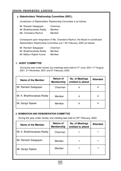#### **c. Stakeholders' Relationship Committee (SRC):**

Constitution of Stakeholders' Relationship Committee is as follows:

| Mr. Ramesh Satagopan     | - Chairman |
|--------------------------|------------|
| Mr. Bhakthavatsala Reddy | - Member   |
| Ms. Chandana Rachuri     | - Member   |

Consequent upon resignation of Ms. Chandana Rachuri, the Board re-constituted Stakeholders' Relationship Committee w.e.f. 5th February, 2022 as follows:

| Mr. Ramesh Satagopan     | - Chairman |
|--------------------------|------------|
| Mr. Bhakthavatsala Reddy | - Member   |
| Mr. Mallour Rajesh Kumar | - Member   |

#### **1. AUDIT COMMITTEE**

During the year under review, four meetings were held on11<sup>th</sup> June, 2021,11<sup>th</sup> August, 2021, 2<sup>nd</sup> November, 2021 and 5<sup>th</sup> February, 2022.

| Name of the Member          | Nature of<br><b>Membership</b> | <b>No. of Meetings</b><br>entitled to attend | <b>Attended</b> |
|-----------------------------|--------------------------------|----------------------------------------------|-----------------|
| Mr. Ramesh Satagopan        | Chairman                       | 4                                            | 4               |
| Mr. K. Bhakthavatsala Reddy | Member                         | 4                                            | 4               |
| Mr. Sanga Tejaswi           | Member                         | 4                                            | 4               |

#### **2. NOMINATION AND REMUNERATION COMMITTEE**

During the year under review, one meeting was held on 05<sup>th</sup> February, 2022.

| Name of the Member          | Nature of<br><b>Membership</b> | No. of Meetings<br>entitled to attend | <b>Attended</b> |
|-----------------------------|--------------------------------|---------------------------------------|-----------------|
| Mr. K. Bhakthavatsala Reddy | Chairman                       |                                       |                 |
| Mr. Ramesh Satagopan        | Member                         |                                       |                 |
| Mr. Sanga Tejaswi           | Member                         |                                       |                 |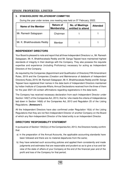#### **3. STAKEHOLDERS' RELATIONSHIP COMMITTEE**

During the year under review, one meeting was held on 5<sup>th</sup> February, 2022.

| Name of the Member          | Nature of<br><b>Membership</b> | No. of Meetings<br>entitled to attend | <b>Attended</b> |
|-----------------------------|--------------------------------|---------------------------------------|-----------------|
| Mr. Ramesh Satagopan        | Chairman                       |                                       |                 |
| Mr. K. Bhakthavatsala Reddy | Member                         |                                       |                 |

#### **INDEPENDENT DIRECTORS**

Your Board is pleased to note and report that all three Independent Directors i.e., Mr. Ramesh Satagopan, Mr. K. Bhakthavatsala Reddy and Mr. Sanga Tejaswi have maintained highest standards of integrity in their dealings with the Company. They also possess the requisite expertise and experience (including Proficiency) necessary for acting as Independent Directors of the Company.

As required by the Companies (Appointment and Qualification of Directors) Fifth Amendment Rules, 2019 and the Companies (Creation and Maintenance of databank of Independent Directors) Rules, 2019, Mr. Ramesh Satagopan, Mr. K. Bhakthavatsala Reddy and Mr. Sanga Tejaswi have registered their names in the data bank of Independent Directors maintained by Indian Institute of Corporate Affairs**.** Annual Declarations received from the three of them for the year 2021-22 contain affirmations regarding registrations in the data bank.

The Company has received necessary declaration from each Independent Director under Section 149(7) of the Companies Act, 2013, that he / she meets the criteria of Independence laid down in Section 149(6) of the Companies Act, 2013 and Regulation 25 of the Listing Regulations. (**Annexure I**).

All the Independent Directors have also confirmed under Regulation 16(b) of the Listing Regulations that they are not Non-Independent Director of another Company on the Board of which any Non-Independent Director of the listed entity is an Independent Director.

# **DIRECTORS' RESPONSIBILITY STATEMENT**

In pursuance of Section 134(3)(c) of the Companies Act, 2013, the Directors hereby confirm that:

- a) in the preparation of the Annual Accounts, the applicable accounting standards have been followed and there are no material departures from the same;
- b) they have selected such accounting policies and applied them consistently and made judgments and estimates that are reasonable and prudent so as to give a true and fair view of the state of affairs of your Company at the end of the financial year and of the profit and loss of the Company for that period;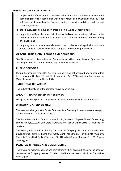- c) proper and sufficient care have been taken for the maintenance of adequate accounting records in accordance with the provisions of the Companies Act, 2013 for safeguarding the assets of the Company and for preventing and detecting fraud and other irregularities;
- d) the Annual Accounts have been prepared on a 'Going Concern' basis;
- e) proper internal financial control laid down by the Directors have been followed by the Company and that such internal financial controls are adequate and were operating effectively; and
- f) proper systems to ensure compliance with the provisions of all applicable laws were in force and that such systems were adequate and operating effectively.

## **OPPORTUNITIES, CHALLENGES AND CONCERNS**

Your Company did not undertake any Commercial Activities during the year. Opportunities are being looked into for undertaking any commercial activities.

#### **PUBLIC DEPOSITS**

During the financial year 2021-22, your Company has not accepted any deposit within the meaning of Sections 73 and 74 of Companies Act, 2013 read with the Companies (Acceptance of Deposits) Rules, 2014.

#### **INDUSTRIAL RELATIONS**

The industrial relations of the Company have been cordial.

#### **AMOUNT TRANSFERRED TO RESERVES**

During the financial year the Company has not transferred any amount to the Reserves.

#### **CHANGES IN SHARE CAPITAL**

There were no changes in the Capital Structure of the Company during the year under report. Capital structure remained as follows:

The Authorized Capital of the Company: Rs. 15,00,00,000 (Rupees Fifteen Crores only) divided into 1,50,00,000 (One Crore Fifty Lakhs only) Equity Shares of Rs.10/- (Rupees Ten only) each.

The Issued, Subscribed and Paid-up Capital of the Company: Rs. 7,45,28,000/- (Rupees Seven Crores Forty Five Lakhs and Twenty Eight Thousand only) divided into 74,52,800 (Seventy Four lakhs Fifty Two Thousand Eight Hundred) Equity Shares of Rs. 10/- (Rupees Ten only) each.

#### **MATERIAL CHANGES AND COMMITMENTS**

There were no material changes and commitments which occurred, affecting the financial position of the Company between 31st March, 2022 and the date on which this Report has been signed.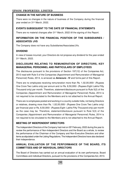## **CHANGE IN THE NATURE OF BUSINESS**

There were no changes in the nature of business of the Company during the financial year ended on 31<sup>st</sup> March, 2022.

# **EVENTS SUBSEQUENT TO THE DATE OF FINANCIAL STATEMENTS**

There are no material changes after 31<sup>st</sup> March, 2022 till the signing of this Report.

# **INFORMATION ON THE FINANCIAL POSITION OF THE SUBSIDIARIES / ASSOCIATES/ JVS**

The Company does not have any Subsidiaries/Associates/JVs.

# **DIVIDEND**

In view of losses incurred, your Directors do not propose any dividend for the year ended 31st March, 2022.

# **DISCLOSURE RELATING TO REMUNERATION OF DIRECTORS, KEY MANAGERIAL PERSONNEL AND PARTICULARS OF EMPLOYEES**

The disclosures pursuant to the provisions of Section 197(12) of the Companies Act, 2013 read with Rule 5 of the Companies (Appointment and Remuneration of Managerial Personnel) Rules, 2014, is annexed as **Annexure - IV** and forms part of this Report.

There are no employees receiving remuneration more than Rs. 1,02,00,000/- (Rupees One Crore Two Lakhs only) per annum and /or Rs. 8,50,000/- (Rupees Eight Lakhs Fifty Thousand only) per month. Therefore, statement/disclosure pursuant to Rule 5(2) of the Companies (Appointment and Remuneration of Managerial Personnel) Rules, 2014 is not required to be circulated to the Members and is not attached to the Annual Report.

There are no employees posted and working in a country outside India, not being Directors or relatives, drawing more than Rs. 1,02,00,000/- (Rupees One Crore Two Lakhs only) per financial year or Rs. 8,50,000/- (Rupees Eight Lakhs Fifty Thousand only) per month as the case may be. Therefore, statement/disclosure pursuant to Rule 5(3) of the Companies (Appointment and Remuneration of Managerial Personnel) Rules, 2014 is not required to be circulated to the Members and is not attached to the Annual Report.

# **MEETING OF INDEPENDENT DIRECTORS**

The Independent Directors of the Company had met on 05th February, 2022 during the year to review the performance of Non-Independent Directors and the Board as a whole, to review the performance of the Chairman of the Company and Non-Executive Directors and other items as stipulated under the Listing Regulations. The Independent Directors have also declared their independence.

# **ANNUAL EVALUATION OF THE PERFORMANCE OF THE BOARD, ITS COMMITTEES AND OF INDIVIDUAL DIRECTORS**

The Board of Directors has carried out an annual evaluation of its own performance, Board Committees and individual Directors, pursuant to the provisions of the Companies Act, 2013.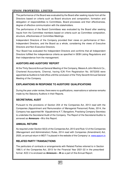The performance of the Board was evaluated by the Board after seeking inputs from all the Directors based on criteria such as Board structure and composition, formation and delegation of responsibilities to Committees, Board processes and their effectiveness, degree of effective communication with the stakeholders.

The performance of the Board Committees was evaluated by the Board after seeking inputs from the Committee members based on criteria such as Committee composition, structure, effectiveness of Committee Meetings.

Independent Directors of the Company provided their views on performance of Non-Independent Directors, and the Board as a whole, considering the views of Executive Directors and Non-Executive Directors.

Your Board has evaluated the Independent Directors and confirms that all Independent Directors fulfilled the independence criteria as specified in SEBI Listing Regulations and their independence from the management.

# **AUDITORS AND AUDITORS' REPORT**

At the Thirty Second Annual General Meeting of the Company, Messrs A.John Moris & Co., Chartered Accountants, Chennai, having ICAI Firm Registration No. 007220S were appointed as Auditors to hold office until the conclusion of the Thirty Seventh Annual General Meeting of the Company.

# **EXPLANATIONS IN RESPONSE TO AUDITORS' QUALIFICATIONS**

During the year under review, there were no qualifications, reservations or adverse remarks made by the Statutory Auditors in their Reports.

# **SECRETARIAL AUDIT**

Pursuant to the provisions of Section 204 of the Companies Act, 2013 read with the Companies (Appointment and Remuneration of Managerial Personnel) Rules, 2014, the Company has appointed Mr. Vijayakrishna K T, Bangalore, Practising Company Secretary to undertake the Secretarial Audit of the Company. The Report of the Secretarial Auditor is annexed as **Annexure – II** to this Report.

# **ANNUAL RETURN**

As required under Section 92(3) of the Companies Act, 2013 and Rule 12 of the Companies (Management and Administration) Rules, 2014 read with Companies (Amendment) Act, 2020, an annual return in MGT-7 is placed in the website of the Company i.e. www.epsom.in

# **RELATED PARTY TRANSACTIONS**

The particulars of contracts or arrangements with Related Parties referred to in Section 188(1) of the Companies Act, 2013 for the Financial Year 2021-22 in the prescribed format AOC 2 is enclosed as **Annexure – III** as a part of this Annual Report.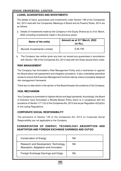#### **LOANS, GUARANTEES AND INVESTMENTS**

The details of loans, guarantees and investments under Section 186 of the Companies Act, 2013 read with the Companies (Meetings of Board and its Powers) Rules, 2014 are as follows:

a. Details of investments made by the Company in the Equity Shares as on 31st March, 2022 (including investments made in the previous years)

| Name of the entity         | Amount as at 31 <sup>st</sup> March, 2022<br>(in Rs.) |
|----------------------------|-------------------------------------------------------|
| Munoth Investments Limited | 3,34,100                                              |

b. The Company has neither given any loan nor issued any guarantees in accordance with Section 186 of the Companies Act, 2013 read with the Rules issued there under.

## **RISK MANAGEMENT**

The Company has formulated a Risk Management Policy and a mechanism to apprise the Board about risk assessment and mitigation procedure. It also undertakes periodical review to ensure that Executive Management Controls risks by means of properly designed risk management framework.

There are no risks which in the opinion of the Board threaten the existence of the Company.

# **VIGIL MECHANISM**

Your Company is committed to highest ethical and legal standards. Accordingly, the Board of Directors have formulated a Whistle Blower Policy which is in compliance with the provisions of Section 177 (10) of the Companies Act, 2013 and as per Regulation 4(2)(d)(iv) of the Listing Regulations.

# **CORPORATE SOCIAL RESPONSIBILITY**

The provisions of Section 135 of the Companies Act, 2013 on Corporate Social Responsibility are not applicable to the Company.

# **CONSERVATION OF ENERGY, TECHNOLOGY ABSORPTION AND ADAPTATION AND FOREIGN EXCHANGE EARNINGS AND OUTGO**

| <b>Conservation of Energy</b>                                                  | ΝA  |
|--------------------------------------------------------------------------------|-----|
| Research and Development, Technology,<br>Absorption, Adaptation and Innovation | ΝA  |
| Foreign Exchange Earnings and Outgo                                            | NII |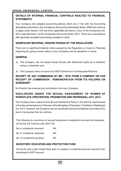# **DETAILS OF INTERNAL FINANCIAL CONTROLS REALTED TO FINANCIAL STATEMENTS**

Your Company has adopted accounting policies which are in line with the Accounting Standards prescribed in the Companies (Accounting Standards) Rules, 2006 that continue to apply under Section 133 and other applicable provisions, if any, of the Companies Act, 2013 read with Rule 7 of the Companies (Accounts) Rules, 2014. There are in accordance with generally accepted accounting principles in India.

# **SIGNIFICANT/MATERIAL ORDERS PASSED BY THE REGULATORS**

There are no significant/material orders passed by the Regulators or Courts or Tribunals impacting the going concern status of your Company and its operations in future.

# **GENERAL**

- a) The Company has not issued Equity Shares with differential rights as to dividend, voting or otherwise; and
- b) The Company does not have any ESOP Scheme for its Employees/Directors.

# **RECEIPT OF ANY COMMISSION BY MD / WTD FROM A COMPANY OR FOR RECEIPT OF COMMISSION / REMUNERATION FROM ITS HOLDING OR SUBSIDIARY**

No Director has received any commission from your Company.

# **DISCLOSURE UNDER THE SEXUAL HARASSMENT OF WOMEN AT WORKPLACE (PREVENTION, PROHIBITION AND REDRESSAL) ACT, 2013**

The Company has in place an Anti-Sexual Harassment Policy in line with the requirements of the Sexual Harassment of Women at the Workplace (Prevention, Prohibition & Redressal) Act, 2013. However, the Company has not constituted Internal Complaints Committee (ICC) due to having less than ten workers.

The following is a summary of sexual harassment complaints received and disposedoff during the financial year 2021-22:

| No of complaints received : | NIL |
|-----------------------------|-----|
| No of complaints disposed : | NIL |
| No. of complaints pending : | NIL |

# **INVESTORS' EDUCATION AND PROTECTION FUND**

During the year under review there were no unpaid or unclaimed amounts required to be transferred to IEPF account.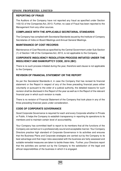# **REPORTING OF FRAUD**

The Auditors of the Company have not reported any fraud as specified under Section 143(12) of the Companies Act, 2013. Further, no case of Fraud has been reported to the Management from any other sources.

## **COMPLIANCE WITH THE APPLICABLE SECRETARIAL STANDARDS**

The Company has complied with Secretarial Standards issued by the Institute of Company Secretaries of India on Board Meetings and Annual General Meetings.

# **MAINTENANCE OF COST RECORDS**

Maintenance of Cost Records as specified by the Central Government under Sub-Section (1) of Section 148 of the Companies Act, 2013, is not applicable to the Company.

# **CORPORATE INSOLVENCY RESOLUTION PROCESS INITIATED UNDER THE INSOLVENCY AND BANKRUPTCY CODE, 2016 (IBC)**

There is no such process initiated during the year, therefore said clause is not applicable to the Company.

# **REVISION OF FINANCIAL STATEMENT OR THE REPORT**

As per the Secretarial Standards-4, in case the Company that has revised its financial statement or the Report in respect of any of the three preceding financial years either voluntarily or pursuant to the order of a judicial authority, the detailed reasons for such revision shall be disclosed in the Report of the year as well as in the Report of the relevant financial year in which such revision is made.

There is no revision of Financial Statement of the Company that took place in any of the three preceding financial years under consideration.

# **CODE OF CORPORATE GOVERNANCE**

Good Corporate Governance is required for each and every Corporate whether in Private or Public. It helps the Company to establish transparency in reporting its operations to its members and to maintain certain level of accountability.

Your Company has committed itself to report to its members that all the functions of the Company are carried out in a professionally sound and acceptable manner. Your Company Directors practice high standard of Corporate Governance in its activities and ensures that the Business Plans and Corporate strategies are carried out by the Company to its best advantage and that major risks associated with the business are fairly assessed and suitable remedial measures are taken to tackle these risks. Further, your Directors report that the activities are carried out by the Company to the satisfaction of the legal and ethical responsibilities of the business in which it is engaged.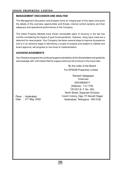#### **MANAGEMENT DISCUSSION AND ANALYSIS**

The Management Discussion and Analysis forms an integral part of this report and gives the details of the overview, opportunities and threats, internal control systems and their adequacy and operational performance of the Company.

The Indian Property Markets have shown remarkable signs of recovery in the last few months considering the impact of post Covid pandemic. However, rising input costs are a deterrent for new projects. Your Company has taken several steps to improve its presence and is in an advance stage of identifying a couple of projects and subject to viability and board approval, will progress to next level of implementation.

## **ACKNOWLEDGEMENTS**

Your Directors recognize the continued support extended by all the Shareholders and gratefully acknowledge with a firm belief that the support and trust will continue in the future also.

> By the order of the Board For EPSOM Properties Limited

Ramesh Satagopan Chairman DIN:00935017 [Address : 7-2-1735, 1813/51/A, F. No. 402, North Street, Sopanam Enclave, Czech Colony, Opp. ITI Sanath Nagar Hyderabad, Telangana - 500 018]

Place : Hyderabad Date : 21<sup>st</sup> May, 2022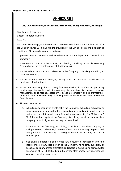# **ANNEXURE I**

### **DECLARATION FROM INDEPENDENT DIRECTORS ON ANNUAL BASIS**

The Board of Directors Epsom Properties Limited

Dear Sirs,

We undertake to comply with the conditions laid down under Section 149 and Schedule IV of the Companies Act, 2013 read with the provisions of the Listing Regulations in relation to conditions of independence and in particular:

- 1. possess relevant expertise and experience to be an Independent Director in the Company;
- 2. am/was not a promoter of the Company or its holding, subsidiary or associate company (or member of the promoter group of the Company);
- 3. am not related to promoters or directors in the Company, its holding, subsidiary or associate company;
- 4. am not related to persons occupying management positions at the board level or at one level below the board;
- 5. Apart from receiving director sitting fees/commission, I have/had no pecuniary relationship / transactions with the company, its promoters, its directors, its senior management or its holding, subsidiary or associate company, or their promoters, or directors, during the immediately preceding three financial years or during the current financial year;
- 6. None of my relatives:
	- a. is holding any security of or interest in the Company, its holding, subsidiary or associate company during the three immediately preceding financial years or during the current financial year of face value not exceeding Rs. 50 lakhs or 2 % of the paid-up capital of the Company, its holding, subsidiary or associate company or such higher sum as may be prescribed;
	- b. is indebted to the Company, its holding, subsidiary or associate company or their promoters, or directors, in excess of such amount as may be prescribed during the three immediately preceding financial years or during the current financial year;
	- c. has given a guarantee or provided any security in connection with the indebtedness of any third person to the Company, its holding, subsidiary or associate company or their promoters, or directors of such holding company; for an amount of Rs. 50 lakhs during the immediately preceding three financial years or current financial year.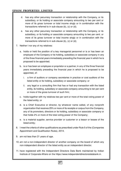- d. has any other pecuniary transaction or relationship with the Company, or its subsidiary, or its holding or associate company amounting to two per cent or more of its gross turnover or total income singly or in combination with the transactions referred to in sub-clause (b), (c) or (d);
- e. has any other pecuniary transaction or relationship with the Company, or its subsidiary, or its holding or associate company amounting to two per cent. or more of its gross turnover or total income singly or in combination with the transactions referred to in sub-clause (b), (c) or (d);
- 7. Neither I nor any of my relatives:
	- a. holds or held the position of a key managerial personnel or is or has been an employee of the Company or its holding, subsidiary or associate company in any of the three financial years immediately preceding the financial year in which he is proposed to be appointed.
	- b. is or has been an employee or proprietor or a partner, in any of the three financial years immediately preceding the financial year in which he is proposed to be appointed, of:
		- i. a firm of auditors or company secretaries in practice or cost auditors of the listed entity or its holding, subsidiary or associate company; or
		- ii. any legal or a consulting firm that has or had any transaction with the listed entity, its holding, subsidiary or associate company amounting to ten per cent or more of the gross turnover of such firm;
	- c. holds together with my relatives two per cent or more of the total voting power of the listed entity; or
	- d. is a Chief Executive or director, by whatever name called, of any nonprofit organization that receives 25% or more of its receipts or corpus from the Company, any of its promoters, directors or its holding, subsidiary or associate company or that holds 2% or more of the total voting power of the Company;
	- e. is a material supplier, service provider or customer or a lessor or lessee of the listed entity;
- 8. I meet the criteria of other qualifications as prescribed under Rule 5 of the (Companies Appointment and Qualification Rules), 2014.
- 9. am not less than 21 years of age.
- 10. am not a non-independent director of another company on the board of which any non-independent director of the listed entity as an independent director.
- 11. have registered with the Independent Directors Data Bank maintained by Indian Institute of Corporate Affairs on the https://www.independentdirectorsdatabank.in.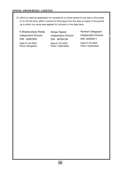12. affirm to make an application for renewal for a further period of one year or five years or for the life-time, within a period of thirty days from the date of expiry of the period up to which my name was applied for inclusion in the data bank.

K Bhaktavatsala Reddy Independent Director DIN - 00697854 Date:01.04.2022 Place: Bangalore

Sanga Tejaswi Independent Director DIN - 08784189 Date:01.04.2022 Place: Hyderabad

Ramesh Satagopan Ramesh Satagopan **Independent Director** Independent Director **DIN- 00935017** DIN- 00935017

Date:01.04.2022 Place: Hyderabad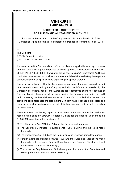# **ANNEXURE II FORM NO. MR-3**

# **SECRETARIAL AUDIT REPORT FOR THE FINANCIAL YEAR ENDED 31.03.2022**

Pursuant to Section 204(1) of the Companies Act, 2013 and Rule No.9 of the Companies (Appointment and Remuneration of Managerial Personnel) Rules, 2014

To

The Members EPSOM Properties Limited (CIN: L24231TN1987PLC014084)

I have conducted the Secretarial Audit of the compliance of applicable statutory provisions and the adherence to good corporate practices by EPSOM Properties Limited (CIN : L24231TN1987PLC014084) (hereinafter called 'the Company'). Secretarial Audit was conducted in a manner that provided me a reasonable basis for evaluating the corporate conducts/statutory compliances and expressing my opinion thereon.

Based on my verification of the books, papers, minute books, forms and returns filed and other records maintained by the Company and also the information provided by the Company, its officers, agents and authorized representatives during the conduct of Secretarial Audit, I hereby report that in my opinion, the Company has, during the audit period covering the financial year ended on 31.03.2022 complied with the statutory provisions listed hereunder and also that the Company has proper Board processes and compliance mechanism in place to the extent, in the manner and subject to the reporting made hereinafter:

I have examined the books, papers, minute books, forms and returns filed and other records maintained by EPSOM Properties Limited for the financial year ended on 31.03.2022 according to the provisions of:

- (i) The Companies Act, 2013 (the Act) and the Rules made thereunder;
- (ii) The Securities Contracts (Regulation) Act, 1956 ('SCRA') and the Rules made thereunder;
- (iii) The Depositories Act, 1996 and the Regulations and Bye-laws framed thereunder;
- (iv) Foreign Exchange Management Act, 1999 and the Rules and Regulations made thereunder to the extent of Foreign Direct Investment, Overseas Direct Investment and External Commercial Borrowings;
- (v) The following Regulations and Guidelines prescribed under the Securities and Exchange Board of India Act, 1992 ('SEBI Act'):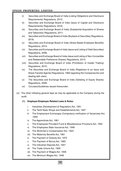- (i) Securities and Exchange Board of India (Listing Obligations and Disclosure Requirements) Regulations, 2015;
- (ii) Securities and Exchange Board of India (Issue of Capital and Disclosure Requirements) Regulations, 2018;
- (iii) Securities and Exchange Board of India (Substantial Acquisition of Shares and Takeovers) Regulations, 2011;
- (iv) Securities and Exchange Board of India (Buyback of Securities) Regulations, 2018;
- (v) Securities and Exchange Board of India (Share Based Employee Benefits) Regulations, 2014;
- (vi) Securities and Exchange Board of India (Issue and Listing of Debt Securities) Regulations, 2008;
- (vii) Securities and Exchange Board of India (Issue and Listing of Non-Convertible and Redeemable Preference Shares) Regulations, 2013;
- (viii) Securities and Exchange Board of India (Prohibition of Insider Trading) Regulations, 2015;
- (ix) The Securities and Exchange Board of India (Registrars to an Issue and Share Transfer Agents) Regulations, 1993 regarding the Companies Act and dealing with client;
- (x) The Securities and Exchange Board of India (Delisting of Equity Shares) Regulations, 2009;
- (xi) Circulars/Guidelines issued thereunder;
- (vi) The other following general laws as may be applicable to the Company during the audit:

#### **(1) Employer/Employee Related Laws & Rules:**

- i. Industries (Development & Regulation) Act, 1951
- ii. The Tamil Nadu Shops and Establishments Act, 1947
- iii. The Employment Exchanges (Compulsory notification of Vacancies) Act, 1959
- iv. The Apprentices Act, 1961
- v. The Employees Provident Fund & Miscellaneous Provisions Act, 1952
- vi. The Employees State Insurance Act, 1948
- vii. The Workmen's Compensation Act, 1923
- viii. The Maternity Benefits Act, 1961
- ix. The Payment of Gratuity Act, 1972
- x. The Payment of Bonus Act, 1965
- xi. The Industrial Disputes Act, 1947
- xii. The Trade Unions Act, 1926
- xiii. The Payment of Wages Act, 1936
- xiv. The Minimum Wages Act, 1948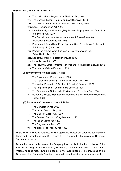- xv. The Child Labour (Regulation & Abolition) Act, 1970
- xvi. The Contract Labour (Regulation & Abolition) Act, 1970
- xvii. The Industrial Employment (Standing Orders) Act, 1946
- xviii. Equal Remuneration Act, 1976
- xix. Inter-State Migrant Workmen (Regulation of Employment and Conditions of Services) Act, 1979
- xx. The Sexual Harassment of Women at Work Place (Prevention, Prohibition & Redressal) Act, 2013
- xxi. Persons with Disabilities (Equal Opportunities, Protection of Rights and Full Participation) Act, 1996
- xxii. Prohibition of Employment as Manual Scavengers and their Rehabilitation Act, 2013
- xxiii. Dangerous Machines (Regulation) Act, 1983
- xxiv. Indian Boilers Act, 1923

xxv. The Industrial Establishments (National and Festival Holidays) Act, 1963 xxvi. The Labour Welfare Fund Act, 1965

## **(2) Environment Related Acts& Rules:**

- i. The Environment Protection Act, 1986
- ii. The Water (Prevention & Control of Pollution) Act, 1974
- iii. The Water (Prevention & Control of Pollution) Cess Act, 1977
- iv. The Air (Prevention & Control of Pollution) Act, 1981
- v. The Government Order Under Environment (Protection) Act, 1986
- vi. Hazardous Wastes (Management, Handling and Transboundary Movement) Rules, 2008.

#### **(3) Economic/Commercial Laws & Rules:**

- i. The Competition Act, 2002
- ii. The Indian Contract Act, 1872
- iii. The Sales of Goods Act, 1930
- iv. The Forward Contracts (Regulation) Act, 1952
- v. The Indian Stamp Act, 1899
- vi. The Registrations Act, 1908
- vii. The Transfer of Property Act, 1882

I have also examined compliances with the applicable clauses of Secretarial Standards on Board and General Meetings  $(SS - 1$  and  $SS - 2)$  issued by the Institute of Company Secretaries of India.

During the period under review, the Company has complied with the provisions of the Acts, Rules, Regulations, Guidelines, Standards, etc. mentioned above. Certain nonmaterial findings made during the course of the audit relating to the provisions of the Companies Act, Secretarial Standards, were addressed suitably by the Management.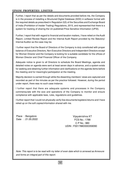Further, I report that as per the details and documents provided before me, the Company is in the process of installing a Structured Digital Database (SDD) in software format with the required details as prescribed in Regulation 3(5) of the Securities and Exchange Board of India (Prohibition of Insider Trading) Regulations, 2015, and represented that there is a system for tracking of sharing the Un-published Price Sensitive Information (UPSI).

Further, I report that with regard to financial and taxation matters, I have relied on the Audit Report, Limited Review Report and the Internal Audit Report provided by the Statutory/ Internal Auditor as the case may be.

I further report that the Board of Directors of the Company is duly constituted with proper balance of Executive Directors, Non-Executive Directors and Independent Directors except for Woman Director and the Company is looking for a suitable candidate for the offices of Woman Director and Chief Financial Officer of the Company.

Adequate notice is given to all Directors to schedule the Board Meetings, agenda and detailed notes on agenda were sent at least seven days in advance, and a system exists for seeking and obtaining further information and clarifications on the agenda items before the meeting and for meaningful participation at the meeting.

Majority decision is carried through while the dissenting members' views are captured and recorded as part of the minutes as per the practice followed. However, during the period under report, there was no such case instance.

I further report that there are adequate systems and processes in the Company commensurate with the size and operations of the Company to monitor and ensure compliance with applicable laws, rules, regulations and guidelines.

I further report that I could not physically verify few documents/registers/returns and I have relied up on the soft copies/information shared with me.

Place : Bangalore Date : 21.05.2022

Vijayakrishna KT FCS No.: 1788 C P No.: 980 UDIN : F001788D000359090

*Note: This report is to be read with my letter of even date which is annexed as Annexure and forms an integral part of this report.*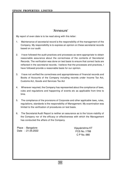# 'Annexure'

My report of even date is to be read along with this letter:

- 1. Maintenance of secretarial record is the responsibility of the management of the Company. My responsibility is to express an opinion on these secretarial records based on our audit.
- 2. I have followed the audit practices and processes as were appropriate to obtain reasonable assurance about the correctness of the contents of Secretarial Records. The verification was done on test basis to ensure that correct facts are reflected in the secretarial records. I believe that the processes and practices, I have followed provide a reasonable basis for our opinion.
- 3. I have not verified the correctness and appropriateness of financial records and Books of Accounts of the Company including records under Income Tax Act, Customs Act, Goods and Services Tax Act
- 4. Wherever required, the Company has represented about the compliance of laws, rules and regulations and happening of events etc as applicable from time to time.
- 5. The compliance of the provisions of Corporate and other applicable laws, rules, regulations, standards is the responsibility of Management. My examination was limited to the verification of procedures on test basis.
- 6. The Secretarial Audit Report is neither an assurance as to the future viability of the Company nor of the efficacy or effectiveness with which the Management has conducted the affairs of the Company.

Place : Bangalore Date : 21.05.2022 Vijayakrishna KT FCS No.:1788 C P No.:980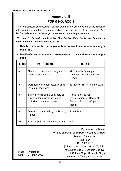# **Annexure III FORM NO. AOC.2**

Form for disclosure of particulars of contracts/arrangements entered into by the company with related parties referred to in sub-section (1) of Section 188 of the Companies Act, 2013 including certain arm's length transactions under third proviso thereto

 **(Pursuant to clause (h) of sub-section (3) of Section 134 of the Act and Rule 8(2) of the Companies (Accounts) Rules, 2014)**

- **1. Details of contracts or arrangements or transactions not at arm's length basis: NIL**
- **2. Details of material contracts or arrangements or transactions at arm's length basis:**

| SL. NO. | <b>PARTICULARS</b>                                                                                | <b>DETAILS</b>                                                                                 |  |
|---------|---------------------------------------------------------------------------------------------------|------------------------------------------------------------------------------------------------|--|
| (a)     | Name(s) of the related party and<br>nature of relationship                                        | Mr. Ramesh Satagopan<br>Chairman and Independent<br><b>Director</b>                            |  |
| (c)     | Duration of the contracts/arrange-<br>ments/transactions                                          | 13 months, till 31 <sup>st</sup> January, 2022                                                 |  |
| (d)     | Salient terms of the contracts or<br>arrangements or transactions<br>including the value, if any: | <b>Rental Service for</b><br>establishment of Corporate<br>Office at Rs. 2,500/- per<br>month. |  |
| (e)     | Date(s) of approval by the Board,<br>if any:                                                      | 13.02.2021                                                                                     |  |
| (f)     | Amount paid as advances, if any:                                                                  | Nil                                                                                            |  |
|         | By order of the Board<br>For and on behalf of EPSOM Properties Limited<br>Ramesh Satagopan        |                                                                                                |  |

Place : Hyderabad Date: 21<sup>st</sup> May, 2022

Chairman DIN:00935017 [Address : 7-2-1735, 1813/51/A, F. No. 402, North Street, Sopanam Enclave, Czech Colony, Opp. ITI Sanath Nagar Hyderabad, Telangana - 500 018]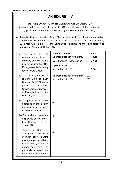# **ANNEXURE – IV**

#### **DETAILS OF RATIO OF REMUNERATION OF DIRECTOR**

(Pursuant to the provisions of Section 197 (12) read Rule 5(1) of the Companies (Appointment & Remuneration of Managerial Personnel), Rules, 2014)

**A.** The ratio of the remuneration of each Director to the median employee's remuneration and other details in terms of sub-section 12 of Section 197 of the Companies Act, 2013 read with Rule 5(1) of the Companies (Appointment and Remuneration of Managerial Personnel) Rules, 2014

| The<br>ratio<br>the<br>of<br>(i)<br>remuneration of each<br>Directors and KMP to the<br>median remuneration of the<br><b>Employees of the Company</b><br>for the financial year;                                                                   | <b>Name of Directors</b><br>Mr. Mallour Rajesh Kumar (MD)<br>Ms. Chandana Rachuri (CFO)<br>Name of KMP<br>Ms. Surbhi Jain (CS) | Ratio<br>1.33:1<br>0.75:1<br>0.83:1 |
|----------------------------------------------------------------------------------------------------------------------------------------------------------------------------------------------------------------------------------------------------|--------------------------------------------------------------------------------------------------------------------------------|-------------------------------------|
| (ii) The percentage increase in<br>remuneration of each<br>Director, Chief Financial<br>Officer, Chief Executive<br><b>Officer, Company Secretary</b><br>or Manager, if any, in the<br>financial year;                                             | Mr. Mallour Rajesh Kumar(MD) - 0%<br>Ms. Surbhi Jain (CS)<br>$-0\%$                                                            |                                     |
| (iii) The percentage increase/<br>decrease in the median<br>remuneration of employees<br>in the financial year;                                                                                                                                    | 0                                                                                                                              |                                     |
| (iv) The number of permanent<br>employees on the rolls of<br>Company<br>the<br>as<br>on<br>31.03.2022;                                                                                                                                             | 03                                                                                                                             |                                     |
| (v) Average percentile increase<br>already made in the salaries<br>of employees other than the<br>managerial personnel in the<br>last financial year and its<br>comparison<br>with<br>the<br>percentile increase in the<br>managerial remuneration | 0                                                                                                                              |                                     |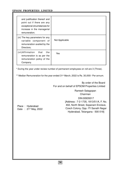| and justification thereof and<br>point out if there are any<br>exceptional circumstances for<br>increase in the managerial<br>remuneration; |                |
|---------------------------------------------------------------------------------------------------------------------------------------------|----------------|
| (vi) The key parameters for any<br>variable component of<br>remuneration availed by the<br>Directors;                                       | Not Applicable |
| (vii)Affirmation<br>that<br>the<br>remuneration is as per the<br>remuneration policy of the<br>Company.                                     | Yes            |

\* During the year under review number of permanent employees on roll are 3 (Three).

\*\* Median Remuneration for the year ended 31<sup>st</sup> March, 2022 is Rs. 30,000/- Per annum.

By order of the Board For and on behalf of EPSOM Properties Limited

> Ramesh Satagopan Chairman

DIN:00935017 [Address : 7-2-1735, 1813/51/A, F. No.

402, North Street, Sopanam Enclave,

Place : Hyderabad Date : 21<sup>st</sup> May, 2022

Czech Colony, Opp. ITI Sanath Nagar Hyderabad, Telangana - 500 018]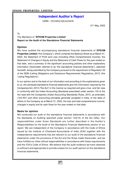# **Independent Auditor's Report**

UDIN : 22218962AJJLKZ6838

21st May, 2022

#### To

# The Members of "**EPSOM Properties Limited**" **Report on the Audit of the Standalone Financial Statements**

#### **Opinion**

We have audited the accompanying standalone financial statements of **EPSOM Properties Limited** ("the Company"), which comprise the Balance Sheet as at March 31, 2022, the Statement of Profit and Loss (including Other Comprehensive Income), the Statement of Changes in Equity and the Statement of Cash Flows for the year ended on that date, and a summary of the significant accounting policies and other explanatory information (hereinafter referred to as "the standalone financial statements"), attached herewith, being submitted by the Company pursuant to the requirement of Regulation 33 of the SEBI (Listing Obligations and Disclosure Requirements) Regulations, 2015, (the 'Listing Regulations').

In our opinion and to the best of our information and according to the explanations given to us, the aforesaid standalone financial statements give the information required by the Companies Act, 2013 ("the Act") in the manner so required and give a true and fair view in conformity with the Indian Accounting Standards prescribed under section 133 of the Act read with the Companies (Indian Accounting Standards) Rules, 2015, as amended, ("Ind AS") and other accounting principles generally accepted in India, of the state of affairs of the Company as at March 31, 2022, the loss and total comprehensive income, changes in equity and its cash flows for the year ended on that date.

#### **Basis for opinion**

We conducted our audit of the standalone financial statements in accordance with the Standards on Auditing specified under section 143(10) of the Act (SAs). Our responsibilities under those Standards are further described in the Auditor's Responsibilities for the Audit of the Standalone Financial Statements section of our report. We are independent of the Company in accordance with the Code of Ethics issued by the Institute of Chartered Accountants of India (ICAI) together with the independence requirements that are relevant to our audit of the standalone financial statements under the provisions of the Act and the Rules made thereunder, and we have fulfilled our other ethical responsibilities in accordance with these requirements and the ICAI's Code of Ethics. We believe that the audit evidence we have obtained is sufficient and appropriate to provide a basis for our audit opinion on the standalone financial statements.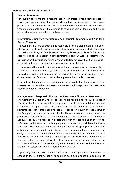#### **Key audit matters**

Key audit matters are those matters that, in our professional judgment, were of most significance in our audit of the standalone financial statements of the current period. These matters were addressed in the context of our audit of the standalone financial statements as a whole, and in forming our opinion thereon, and we do not provide a separate opinion on these matters.

# **Information Other than the Standalone Financial Statements and Auditor's Report Thereon**

The Company's Board of Directors is responsible for the preparation of the other information. The other information comprises the information included in the Management Discussion and Analysis, Board's Report including Annexures to Board's Report, but does not include the standalone financial statements and our auditor's report thereon.

Our opinion on the standalone financial statements does not cover the other information and we do not express any form of assurance conclusion thereon.

In connection with our audit of the standalone financial statements, our responsibility is to read the other information and, in doing so, consider whether the other information is materially inconsistent with the standalone financial statements or our knowledge obtained during the course of our audit or otherwise appears to be materially misstated.

If, based on the work we have performed, we conclude that there is a material misstatement of this other information, we are required to report that fact. We have nothing to report in this regard.

#### **Management's Responsibility for the Standalone Financial Statements**

The Company's Board of Directors is responsible for the matters stated in section 134(5) of the Act with respect to the preparation of these standalone financial statements that give a true and fair view of the financial position, financial performance, total comprehensive income, changes in equity and cash flows of the Company in accordance with the IndAS and other accounting principles generally accepted in India. This responsibility also includes maintenance of adequate accounting records in accordance with the provisions of the Act for safeguarding the assets of the Company and for preventing and detecting frauds and other irregularities; selection and application of appropriate accounting policies; making judgments and estimates that are reasonable and prudent; and design, implementation and maintenance of adequate internal financial controls, that were operating effectively for ensuring the accuracy and completeness of the accounting records, relevant to the preparation and presentation of the standalone financial statements that give a true and fair view and are free from material misstatement, whether due to fraud or error.

In preparing the standalone financial statements, management is responsible for assessing the Company's ability to continue as a going concern, disclosing, as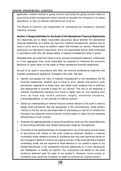applicable, matters related to going concern and using the going concern basis of accounting unless management either intends to liquidate the Company or to cease operations, or has no realistic alternative but to do so.

The Board of Directors are responsible for overseeing the Company's financial reporting process.

**Auditor's Responsibilities for the Audit of the Standalone Financial Statements** Our objectives are to obtain reasonable assurance about whether the standalone financial statements as a whole are free from material misstatement, whether due to fraud or error, and to issue an auditor's report that includes our opinion. Reasonable assurance is a high level of assurance, but is not a guarantee that an audit conducted in accordance with SAs will always detect a material misstatement when it exists.

Misstatements can arise from fraud or error and are considered material if, individually or in the aggregate, they could reasonably be expected to influence the economic decisions of users taken on the basis of these standalone financial statements.

As part of an audit in accordance with SAs, we exercise professional judgment and maintain professional skepticism throughout the audit. We also:

- Identify and assess the risks of material misstatement of the standalone Ind AS financial statements, whether due to fraud or error, design and perform audit procedures responsive to those risks, and obtain audit evidence that is sufficient and appropriate to provide a basis for our opinion. The risk of not detecting a material misstatement resulting from fraud is higher than for one resulting from error, as fraud may involve collusion, forgery, intentional omissions, misrepresentations, or the override of internal controls.
- Obtain an understanding of internal financial controls relevant to the audit in order to design audit procedures that are appropriate in the circumstances. Under section 143(3)(i) of the Act, we are also responsible for expressing our opinion on whether the Company has adequate internal financial controls system in place and the operating effectiveness of such controls.
- Evaluate the appropriateness of accounting policies used and the reasonableness of accounting estimates and related disclosures made by management.
- Conclude on the appropriateness of management's use of the going concern basis of accounting and, based on the audit evidence obtained, whether a material uncertainty exists related to events or conditions that may cast significant doubt on the Company's ability to continue as a going concern. If we conclude that a material uncertainty exists, we are required to draw attention in our auditor's report to the related disclosures in the standalone financial statements or, if such disclosures are inadequate, to modify our opinion. Our conclusions are based on the audit evidence obtained upto the date of our auditor's. However, future events or conditions may cause the Company to cease to continue as a going concern.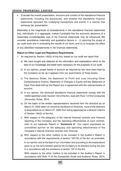Evaluate the overall presentation, structure and content of the standalone financial statements, including the disclosures, and whether the standalone financial statements represent the underlying transactions and events in a manner that achieves fair presentation.

Materiality is the magnitude of misstatements in the standalone financial statements that, individually or in aggregate, makes it probable that the economic decisions of a reasonably knowledgeable user of the financial statements may be influenced. We consider quantitative materiality and qualitative factors in - (i) planning the scope of our audit work and in evaluating the results of our work; and (ii) to evaluate the effect of any identified misstatements in the financial statements.

#### **Report on Other Legal and Regulatory Requirements**

- 1. As required by Section 143(3) of the Act, based on our audit we report that:
	- a) We have sought and obtained all the information and explanations which to the best of our knowledge and belief were necessary for the purposes of our audit.
	- b) In our opinion, proper books of account as required by law have been kept by the Company so far as it appears from our examination of those books.
	- c) The Balance Sheet, the Statement of Profit and Loss including Other Comprehensive Income, Statement of Changes in Equity and the Statement of Cash Flow dealt with by this Report are in agreement with the relevant books of account.
	- d) In our opinion, the aforesaid standalone financial statements comply with the IndAS specified under Section 133 of the Act, read with Rule 7 of the Companies (Accounts) Rules, 2014.
	- e) On the basis of the written representations received from the directors as on March 31, 2022 taken on record by the Board of Directors, none of the directors is disqualified as on March 31, 2022 from being appointed as a director interms of Section 164(2) of the Act.
	- f) With respect to the adequacy of the internal financial controls over financial reporting of the Company and the operating effectiveness of such controls, refer to our separate Report in "**Annexure A**". Our report expresses an unmodified opinion on the adequacy and operating effectiveness of the Company's internal financial controls over financial.
	- g) With respect to the other matters to be included in the Auditor's Report in accordance with the requirements of section 197(16) of the Act, as amended: In our opinion and to the best of our information and according to the explanations given to us, the remuneration paid by the Company to its directors during the year is in accordance with the provisions of section 197 of the Act.

With respect to the other matters to be included in the Auditor's Report in accordance with Rule 11 of the Companies (Audit and Auditors) Rules, 2014,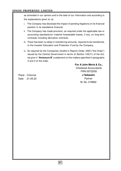as amended in our opinion and to the best of our information and according to the explanations given to us:

- i. The Company has disclosed the impact of pending litigations on its financial position in its standalone financial
- ii. The Company has made provision, as required under the applicable law or accounting standards,for material foreseeable losses, if any, on long-term contracts including derivative contracts.
- iii. There has been no delay in transferring amounts, required to be transferred, to the Investor Education and Protection Fund by the Company.
- iv. As required by the Companies (Auditor's Report) Order, 2020 ("the Order") issued by the Central Government in terms of Section 143(11) of the Act, we give in "**Annexure B**" a statement on the matters specified in paragraphs 3 and 4 of the order.

**For A John Moris & Co.,** Chartered Accountants FRN 007220S **J Sebastin Partner** M. No. 218962

Place : Chennai Date : 21.05.22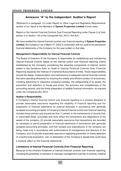# **Annexure "A" to the Independent Auditor's Report**

(Referred to in paragraph 1(f) under Report on Other Legal and Regulatory Requirements' section of our report to the Members of **Epsom Properties Limited** of even date)

Report on the Internal Financial Controls Over Financial Reporting under Clause (i) of Subsection 3 of Section 143 of the Companies Act, 2013 ("the Act")

We have audited the internal financial controls over financial reporting of **Epsom Properties Limited** ("the Company") as of March 31, 2022 in conjunction with our audit of the standalone financial statements of the Company for the year ended on that date.

#### **Management's Responsibility for Internal Financial Controls**

The Board of Directors of the Company is responsible for establishing and maintaining internal financial controls based on the internal control over financial reporting criteria established by the Company considering the essential components of internal control stated in the Guidance Note on Audit of Internal Financial Controls Over Financial Reporting issued by the Institute of Chartered Accountants of India. These responsibilities include the design, implementation and maintenance of adequate internal financial controls that were operating effectively for ensuring the orderly and efficient conduct of its business, including adherence to respective company's policies, the safeguarding of its assets, the prevention and detection of frauds and errors, the accuracy and completeness of the accounting records, and the timely preparation of reliable financial information, as required under the Companies Act, 2013.

#### **Auditor's Responsibility**

A Company's internal financial control over financial reporting is a process designed to provide reasonable assurance regarding the reliability of financial reporting and the preparation of financial statements for external purposes in accordance with generally accepted accounting principles. A Company's internal financial control over financial reporting includes those policies and procedures that (1) pertain to the maintenance of records that, in reasonable detail, accurately and fairly reflect the transactions and dispositions of the assets of the company; (2) provide reasonable assurance that transactions are recorded as necessary to permit preparation of financial statements in accordance with generally accepted accounting principles, and that receipts and expenditures of the company are being made only in accordance with authorizations of management and directors of the Company; and (3) provide reasonable assurance regarding prevention or timely detection of unauthorized acquisition, use, or disposition of the Company's assets that could have a material effect on the financial statements.

# **Limitations of Internal Financial Controls Over Financial Reporting**

Because of the inherent limitations of internal financial controls over financial reporting, including the possibility of collusion or improper management override of controls, material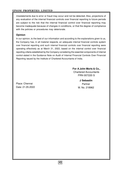misstatements due to error or fraud may occur and not be detected. Also, projections of any evaluation of the internal financial controls over financial reporting to future periods are subject to the risk that the internal financial control over financial reporting may become inadequate because of changes in conditions, or that the degree of compliance with the policies or procedures may deteriorate.

#### **Opinion**

In our opinion, to the best of our information and according to the explanations given to us, the Company has, in all material respects, an adequate internal financial controls system over financial reporting and such internal financial controls over financial reporting were operating effectively as at March 31, 2022, based on the internal control over financial reporting criteria established by the Company considering the essential components of internal control stated in the Guidance Note on Audit of Internal Financial Controls Over Financial Reporting issued by the Institute of Chartered Accountants of India.

> **For A John Moris & Co.,** Chartered Accountants FRN 007220 S

Place: Chennai Date: 21.05.2022

**J Sebastin Partner** M. No. 218962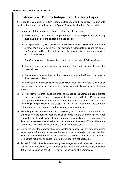# **Annexure 'B' to the Independent Auditor's Report**

(Referred to in paragraph 2 under 'Report on Other Legal and Regulatory Requirements' section of our report to the Members of **Epsom Properties Limited** of even date)

- i. In respect of the Company's Property, Plant, and Equipment:
	- (a) The Company has maintained proper records showing full particulars, including quantitative details and situation of fixed assets.
	- (b) As explained to us, fixed assets are physically verified in full by the management at reasonable intervals, which, in our opinion, is reasonable looking to the size of the Company and the nature of its business. No material discrepancies were noticed on such verification.
	- (c) The Company has no Immovable property as on the date of Balance Sheet
	- (d) The company has not revalued its Property, Plant and Equipment during the financial year.
	- (e) The company does not hold any benami property under the Benami Transactions (Prohibition) Act, 1988.
- ii. According to the information and explanations furnished to us, there are no inventories available with the company; the question of physical verification of the same does not arise.
- iii. According to the information and explanations given to us, the Company has not granted any loans, secured or unsecured to companies, firms, Limited Liability Partnerships or other parties covered in the register maintained under Section 189 of the Act. Accordingly, the provisions of clause  $3(iii)$  (a), (b), (c), (d), (e) and (f) of the Order are not applicable to the Company and hence not commented upon.
- iv. According to the information and explanations given to us and on the basis of our examination of the books of account, it was observed that the Company has not made or diverted any funds by way of loans, guarantees or security which are required to be listed in the register maintained under the provisions of section 185 and 186 of the Companies Act, 2013. Hence, the said clause is not applicable.
- v. During the year, the Company has not accepted any deposits or any amount deemed to be deposits from any person. As the same must be complied with the directives issued by the Reserve Bank of India and the provisions of Section 73 to 76 of the Companies Act, 2013 and rules framed there under are not applicable.
- vi. As per information & explanation given by the management, maintenance of cost records has not been prescribed by the Central Government under sub-section (1) of section 148 of the Companies Act, 2013 for any of the activities of the Company.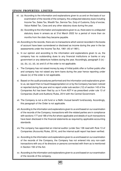- vii. (a) According to the information and explanations given to us and on the basis of our examination of the records of the company, the undisputed statutory dues including Income Tax, Sales Tax, Wealth Tax, Service Tax, Duty of Customs, Duty of excise, Value Added Tax, Cess and any other statutory dues during the year.
	- (b) According to the information and explanations given to us, there were no undisputed statutory dues in arrears as at 31st March 2022 for a period of more than six months from the date they became payable.
- viii.According to the records, there are no transactions which arenot recorded in the books of account have been surrendered or disclosed as income during the year in the tax assessments under the Income Tax Act, 1961 (43 of 1961).
- ix. In our opinion and according to the information and explanations given to us, the company has no outstanding dues to any financial institutions or banks or any government or any debenture holders during the year. Accordingly, paragraph 3 (ix) -  $(a)$ ,  $(b)$ ,  $(c)$ ,  $(d)$ ,  $(e)$  and  $(f)$  of the order is not applicable.
- x. The Company has not raised money by way of Initial public offer or further public offer and company has not raised any term loans during the year hence reporting under clause (ix) of the order is not applicable.
- xi. Based on the audit procedures performed and the information and explanations given to us, we report that no fraud/misappropriation on or by the Company has been noticed or reported during the year and no report under sub-section (12) of section 143 of the Companies Act has been filed by us in Form ADT-4 as prescribed under rule 13 of Companies (Audit and Auditors) Rules, 2014 with the Central Government.
- xii. The Company is not a chit fund or a Nidhi /mutual benefit fund/society. Accordingly, this paragraph of the Order is not applicable.
- xiii.According to the information and explanations given to us and based on our examination of the records of the Company, transactions with the related parties are in compliance with sections 177 and 188 of the Act where applicable and details of such transactions have been disclosed in the financial statements as required by applicable accounting standards.
- xiv.The company has appointed an internal auditor (under Sec 138 read with Rule 13 of Companies (Accounts) Rules, 2014), and the internal audit report has been verified.
- xv. According to the information and explanations given to us and based on our examination of the records of the Company, the Company has not entered into any non-cash transactions with any of its directors or persons connected with them as is mentioned in Section 192 of the Act.
- xv. According to the information and explanations given to us and based on our examination of the records of the company,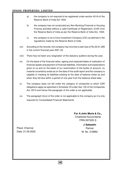- a) the company is not required to be registered under section 45-IA of the Reserve Bank of India Act 1934,
- b) the company has not conducted any Non-Banking Financial or Housing Finance activities without a valid Certificate of Registration (CoR) from the Reserve Bank of India as per the Reserve Bank of India Act, 1934;
- c) the company is not a Core Investment Company (CIC) as defined in the regulations made by the Reserve Bank of India
- xvii. According to the records, the company has incurred a cash loss of Rs.32,61,289 in the current financial year 2021-22.
- xviii. There has not been any resignation of the statutory auditors during the year.
- xix. On the basis of the financial ratios, ageing and expected dates of realization of financial assets and payment of financial liabilities, information and explanations given to us and on the basis of our examination of the books of account, no material uncertainty exists as on the date of the audit report and the company is capable of meeting its liabilities existing at the date of balance sheet as and when they fall due within a period of one year from the balance sheet date.
- xx. The company does not fall under the category of companies to which CSR obligations apply as specified in Schedule VII under Sec 135 of the Companies Act, 2013 and hence this paragraph of the order is not applicable.
- xxi. The paragraph 3(xxi) of the order is not applicable to the company as it is only required for Consolidated Financial Statements.

**For A John Moris & Co.,** Chartered Accountants FRN 007220 S

> **J Sebastin Partner** M. No. 218962

Place: Chennai Date: 21.05.2022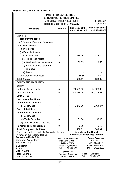| <b>PART I-BALANCE SHEET</b><br><b>EPSOM PROPERTIES LIMITED</b>                        |                             |                                                              |                                        |  |
|---------------------------------------------------------------------------------------|-----------------------------|--------------------------------------------------------------|----------------------------------------|--|
| CIN: L24231TN1987PLC014084<br>Balance Sheet as at 31.03.2022                          |                             |                                                              | (Rupees in<br>Thousands)               |  |
| <b>Particulars</b>                                                                    | Note No.                    | Figures as at the<br>end of 31.03.2022                       | Figures as at the<br>end of 31.03.2021 |  |
| <b>ASSETS</b>                                                                         |                             |                                                              |                                        |  |
| (1) Non-current assets                                                                |                             |                                                              |                                        |  |
| (a) Property, Plant and Equipment                                                     | 1                           |                                                              |                                        |  |
| (2) Current assets                                                                    |                             |                                                              |                                        |  |
| (a) Inventories                                                                       |                             |                                                              |                                        |  |
| (b) Financial Assets                                                                  |                             |                                                              |                                        |  |
| Investments<br>(i)                                                                    | $\overline{2}$              | 334.10                                                       | 334.10                                 |  |
| (ii) Trade receivables                                                                |                             |                                                              |                                        |  |
| (iii) Cash and cash equivalents                                                       | 3                           | 86.65                                                        | 20.50                                  |  |
| (iv) Bank balances other than                                                         |                             |                                                              |                                        |  |
| (iii) above                                                                           |                             |                                                              |                                        |  |
| $(v)$ Loans                                                                           |                             |                                                              |                                        |  |
| (c) Other current Assets                                                              | 4                           | 168.85                                                       | 9.32                                   |  |
| <b>Total Assets</b>                                                                   |                             | 589.61                                                       | 363.92                                 |  |
| <b>EQUITY AND LIABILITIES</b>                                                         |                             |                                                              |                                        |  |
| <b>Equity</b>                                                                         |                             |                                                              |                                        |  |
| (a) Equity Share capital                                                              | 5                           | 74,528.00                                                    | 74,528.00                              |  |
| (b) Other Equity                                                                      | 6                           | $-80,279.59$                                                 | $-77,018.31$                           |  |
| <b>LIABILITIES</b>                                                                    |                             |                                                              |                                        |  |
| <b>Non-current liabilities</b>                                                        |                             |                                                              |                                        |  |
| (a) Financial Liabilities                                                             |                             |                                                              |                                        |  |
| (i) Borrowings                                                                        | 7                           | 6,279.70                                                     | 2,779.09                               |  |
| <b>Current liabilities</b>                                                            |                             |                                                              |                                        |  |
| (a) Financial Liabilities                                                             |                             |                                                              |                                        |  |
| (i) Borrowings                                                                        |                             |                                                              |                                        |  |
| (ii) Trade Payables                                                                   | 8                           | 61.00                                                        | 58.95                                  |  |
| (iii) Other Financials Liabilities                                                    |                             |                                                              |                                        |  |
| (b) Other current liabilities                                                         | 9                           | 0.50                                                         | 16.19                                  |  |
| <b>Total Equity and Liabilities</b>                                                   |                             | 589.61                                                       | 363.92                                 |  |
| See accompanying notes to the financial statements<br>In terms of our report attached |                             | By order of the Board<br><b>For EPSOM Properties Limited</b> |                                        |  |
| For A John Moris & Co                                                                 | <b>MALLOUR RAJESH KUMAR</b> |                                                              | <b>RAMESH SATAGOPAN</b>                |  |
| <b>Chartered Accountants</b>                                                          | Managing Director           |                                                              | Chairman                               |  |
| FRN 007220 S<br>DIN:08125774<br>Place: Hyderabad                                      |                             |                                                              | DIN: 00935017<br>Place: Hyderabad      |  |
| J Sebastin<br>Partner                                                                 | Date: 21.05.2022            |                                                              | Date: 21.05.2022                       |  |
| M.No 218962                                                                           | <b>SURBHI JAIN</b>          |                                                              |                                        |  |
| Place: Chennai                                                                        | <b>Company Secretary</b>    |                                                              | Place: Hazaribagh                      |  |
| Date: 21.05.2022<br>M No.: 58109<br>Date: 21.05.2022                                  |                             |                                                              |                                        |  |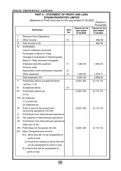# **PART II – STATEMENT OF PROFIT AND LOSS EPSOM PROPERTIES LIMITED**

 Statement of Profit and Loss for the year ended 31.03.2022 (Rupees in

|                    |                                                                       |                    |                                                    | Thousands)                                         |
|--------------------|-----------------------------------------------------------------------|--------------------|----------------------------------------------------|----------------------------------------------------|
| <b>Particulars</b> |                                                                       | <b>Note</b><br>No. | <b>Figures for the</b><br>year ended<br>31.03.2022 | <b>Figures for the</b><br>year ended<br>31.03.2021 |
| $\mathbf{I}$       | <b>Revenue From Operations</b>                                        |                    |                                                    |                                                    |
| $\mathbf{I}$       | Other Income                                                          | 10                 |                                                    | 856.09                                             |
| Ш                  | Total Income (I+II)                                                   |                    |                                                    | 856.09                                             |
| IV                 | <b>EXPENSES</b>                                                       |                    |                                                    |                                                    |
|                    | Cost of materials consumed                                            |                    |                                                    |                                                    |
|                    | <b>Purchases of Stock-in-Trade</b>                                    |                    |                                                    |                                                    |
|                    | Changes in inventories of finished goods,                             |                    |                                                    |                                                    |
|                    | Stock-in -Trade and work-in-progress                                  |                    |                                                    |                                                    |
|                    | Employee benefits expense                                             | 11                 | 1,360.44                                           | 1,049.45                                           |
|                    | Finance costs                                                         |                    |                                                    |                                                    |
|                    | Depreciation and amortization expense                                 | 12                 |                                                    |                                                    |
|                    | Other expenses                                                        | 13                 | 1,900.85                                           | 1,919.77                                           |
|                    | Total expenses (IV)                                                   |                    | 3,261.29                                           | 2,969.22                                           |
| $\vee$             | Profit/(loss) before exceptional items                                |                    | (3,261.29)                                         | (2, 113.13)                                        |
|                    | and tax $(I - IV)$                                                    |                    |                                                    |                                                    |
| VI                 | <b>Exceptional Items</b>                                              | 14                 |                                                    |                                                    |
| VII                | Profit/(loss) before tax                                              |                    | (3,261.29)                                         | (2, 113.13)                                        |
|                    | $(V-VI)$                                                              |                    |                                                    |                                                    |
|                    | VIII Tax expense:                                                     |                    |                                                    |                                                    |
|                    | (1) Current tax                                                       |                    |                                                    |                                                    |
|                    | (2) Deferred tax                                                      |                    |                                                    |                                                    |
| IX                 | Profit (Loss) for the period from<br>continuing operations (VII-VIII) |                    | (3,261.29)                                         | (2, 113.13)                                        |
| X                  | Profit/(loss) from discontinued operations                            |                    |                                                    |                                                    |
| XI                 | Tax expense of discontinued operations                                |                    |                                                    |                                                    |
| XII                | Profit/(loss) from Discontinued operations                            |                    |                                                    |                                                    |
|                    | $(after tax) (X-XI)$                                                  |                    |                                                    |                                                    |
| XIII               | Profit/(loss) for the period (IX+XII)                                 |                    | (3,261.29)                                         | (2, 113.13)                                        |
| XIV                | Other Comprehensive Income                                            |                    |                                                    |                                                    |
|                    | A (i) Items that will not be reclassified to                          |                    |                                                    |                                                    |
|                    | profit or loss                                                        |                    |                                                    |                                                    |
|                    | (ii) Income tax relating to items that will                           |                    |                                                    |                                                    |
|                    | not be reclassified to profit or loss                                 |                    |                                                    |                                                    |
|                    | B (i) Items that will be reclassified to                              |                    |                                                    |                                                    |
|                    | profit or loss                                                        |                    |                                                    |                                                    |
|                    |                                                                       |                    |                                                    |                                                    |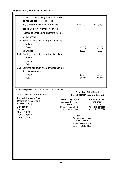| (3,261.29) | (2, 113.13) |
|------------|-------------|
|            |             |
|            |             |
|            |             |
|            |             |
|            |             |
| (0.00)     | (0.00)      |
| (0.00)     | (0.00)      |
|            |             |
|            |             |
|            |             |
|            |             |
|            |             |
|            |             |
| (0.00)     | (0.00)      |
| (0.00)     | (0.00)      |
|            |             |
|            |             |
|            |             |

See accompanying notes to the financial statements

In terms of our report attached

#### **For A John Moris & Co**

Chartered Accountants FRN 007220 S

**J Sebastin**

**Partner** M.No 218962 Place: Chennai Date: 21.05.2022

#### **By order of the Board For EPSOM Properties Limited**

**MALLOUR RAJESH KUMAR** Managing Director DIN:08125774 Place : Hyderabad Date : 21.05.2022

**RAMESH SATAGOPAN** Chairman DIN: 00935017 Place : Hyderabad Date : 21.05.2022

#### **SURBHI JAIN**

Company Secretary M No. : 58109 Place : Hazaribagh Date : 21.05.2022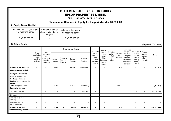# **STATEMENT OF CHANGES IN EQUITY EPSOM PROPERTIES LIMITED**

# **CIN : L24231TN1987PLC014084**

#### **Statement of Changes in Equity for the period ended 31.03.2022**

#### **A. Equity Share Capital**

| Balance at the beginning of<br>the reporting period | Changes in equity<br>share capital during<br>the year | Balance at the end of<br>the reporting period |
|-----------------------------------------------------|-------------------------------------------------------|-----------------------------------------------|
| 7,45,28,000.00                                      | -                                                     | 7,45,28,000.00                                |

#### **B. Other Equity**

(Rupees in Thousand)

|                                                                        | Equity                                                |                                                         | Reserves and Surplus     |                                  |                          | Debt instru-             | Equity<br>Instru-                                         | Effective                                                 |                                      | Exchange<br>differences     | Other items                                                                     | Money                                                           |                                          |              |
|------------------------------------------------------------------------|-------------------------------------------------------|---------------------------------------------------------|--------------------------|----------------------------------|--------------------------|--------------------------|-----------------------------------------------------------|-----------------------------------------------------------|--------------------------------------|-----------------------------|---------------------------------------------------------------------------------|-----------------------------------------------------------------|------------------------------------------|--------------|
|                                                                        | Share<br>application<br>money<br>pending<br>allotment | component<br>of<br>compound<br>financial<br>instruments | Capital<br>Reserve       | Securities<br>Premium<br>Reserve | General<br>Reserve       | Retained<br>Earnings     | ments<br>through<br>Other<br>Compre-<br>hensive<br>Income | ments<br>through<br>Other<br>Compreh-<br>ensive<br>Income | portion<br>of Cash<br>Flow<br>Hedges | Revalua-<br>tion<br>Surplus | on trans-<br>lating the<br>financial<br>statements<br>of a foreign<br>operation | of Other<br>Compre-<br>hensive<br>Income<br>(specify<br>nature) | received<br>against<br>share<br>warrants | Total        |
| <b>Balance at the beginning</b><br>of the reporting period             | ٠                                                     |                                                         | 35.96                    | $\sim$                           | 244.48                   | (77, 434.89)             | $\overline{\phantom{a}}$                                  | $\overline{\phantom{a}}$                                  | $\overline{\phantom{a}}$             | 136.14                      |                                                                                 |                                                                 | $\sim$                                   | (77,018.31)  |
| Changes in accounting<br>policy or prior period errors                 | $\blacksquare$                                        |                                                         |                          | $\overline{\phantom{a}}$         | $\sim$                   | $\overline{\phantom{a}}$ | ٠                                                         |                                                           | $\overline{\phantom{a}}$             |                             |                                                                                 |                                                                 | $\blacksquare$                           |              |
| <b>Restated balance at the</b><br>beginning of the reporting<br>period | $\overline{\phantom{a}}$                              |                                                         |                          |                                  | $\overline{\phantom{a}}$ | $\overline{\phantom{a}}$ | $\overline{\phantom{a}}$                                  |                                                           | $\overline{\phantom{a}}$             |                             |                                                                                 |                                                                 | $\overline{\phantom{a}}$                 |              |
| <b>Total Comprehensive</b><br>Income for the year                      |                                                       |                                                         | 35.96                    | $\blacksquare$                   | 244.48                   | (77, 434.89)             | $\blacksquare$                                            | $\blacksquare$                                            | $\blacksquare$                       | 136.14                      |                                                                                 |                                                                 | $\blacksquare$                           | (77,018.31)  |
| Income for the year                                                    | $\blacksquare$                                        |                                                         | ٠                        | $\overline{\phantom{a}}$         | $\sim$                   | (3,261.29)               | $\sim$                                                    | $\sim$                                                    | ٠                                    |                             | $\overline{\phantom{a}}$                                                        | $\overline{\phantom{a}}$                                        | $\overline{\phantom{a}}$                 | (3,261.29)   |
| <b>Dividends</b>                                                       | $\blacksquare$                                        | $\overline{\phantom{a}}$                                | $\overline{\phantom{a}}$ | $\overline{\phantom{a}}$         | $\sim$                   | ٠                        | $\blacksquare$                                            | $\overline{\phantom{a}}$                                  | $\overline{\phantom{a}}$             |                             | $\overline{\phantom{a}}$                                                        |                                                                 | $\overline{\phantom{a}}$                 |              |
| Transfer to retained<br>earnings                                       | ۰                                                     |                                                         | $\overline{\phantom{a}}$ |                                  | $\sim$                   | ٠                        | $\overline{\phantom{a}}$                                  | $\overline{\phantom{a}}$                                  |                                      |                             | ۰.                                                                              |                                                                 | ۰                                        |              |
| Any other change<br>(to be specified)                                  | $\overline{\phantom{a}}$                              |                                                         | $\overline{\phantom{a}}$ | $\overline{\phantom{a}}$         | $\overline{\phantom{a}}$ | $\blacksquare$           |                                                           | $\overline{\phantom{a}}$                                  | $\overline{\phantom{a}}$             |                             | $\overline{\phantom{a}}$                                                        |                                                                 |                                          |              |
| <b>Balance at the end</b>                                              | $\overline{\phantom{0}}$                              |                                                         | 35.96                    | $\blacksquare$                   | 244.48                   | (80,696.18)              | $\sim$                                                    | $\blacksquare$                                            | $\blacksquare$                       | 136.14                      | $\blacksquare$                                                                  | $\overline{\phantom{0}}$                                        | $\blacksquare$                           | (80, 279.39) |
| <del>of the reporting period</del>                                     |                                                       |                                                         |                          |                                  |                          |                          |                                                           |                                                           |                                      |                             |                                                                                 |                                                                 |                                          |              |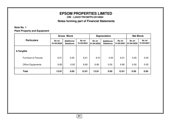**CIN : L24231TN1987PLC014084**

# **Notes forming part of Financial Statements**

**Note No. 1**

**Plant Property and Equipment**

|                                 | <b>Gross Block</b><br><b>Net Block</b><br><b>Depreciation</b> |                                |                     |                     |                                |                                     |                     |                     |
|---------------------------------|---------------------------------------------------------------|--------------------------------|---------------------|---------------------|--------------------------------|-------------------------------------|---------------------|---------------------|
| <b>Particulars</b>              | As on<br>01/04/2020                                           | Additions/<br><b>Deletions</b> | As on<br>31/03/2021 | As on<br>01/04/2020 | Additions/<br><b>Deletions</b> | As on<br>31/03/2021<br>6.01<br>6.80 | As on<br>01/04/2020 | As on<br>31/03/2021 |
| A.Tangible                      |                                                               |                                |                     |                     |                                |                                     |                     |                     |
| <b>Furniture &amp; Fixtures</b> | 6.01                                                          | 0.00                           | 6.01                | 6.01                | 0.00                           |                                     | 0.00                | 0.00                |
| <b>Office Equipments</b>        | 6.80                                                          | 0.00                           | 6.80                | 6.80                | 0.00                           |                                     | 0.00                | 0.00                |
| <b>Total</b>                    | 12.81                                                         | 0.00                           | 12.81               | 12.81               | 0.00                           | 12.81                               | 0.00                | 0.00                |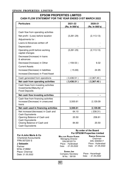## **EPSOM PROPERTIES LIMITED CASH FLOW STATEMENT FOR THE YEAR ENDED 31ST MARCH 2022**

| <b>Particulars</b>                                                                                                             | 2021-22<br>(Rs. In 000's) | 2020-21<br>(Rs. In 000's) |
|--------------------------------------------------------------------------------------------------------------------------------|---------------------------|---------------------------|
| Cash flow from operating activities<br>Net profit / (Loss) before taxation<br>Adjustments for:<br>Loans & Advances written off | (3,261.29)                | (2, 113.13)               |
| Depreciation                                                                                                                   |                           |                           |
| Operating profit before working<br>capital changes                                                                             | (3,261.29)                | (2, 113.13)               |
| Decrease/(Increase) in loans<br>& advances                                                                                     |                           |                           |
| Decrease/(Increase) in Other<br><b>Current Assets</b>                                                                          | (159.53)                  | 9.32                      |
| Increase/(Decrease) in liabilities<br>Increase/(Decrease) in Fixed Asset                                                       | (15.69)                   | 24.95                     |
| Cash generated from operations                                                                                                 | (3,436.51)                | (2,367.40)                |
| Net cash from operating activities                                                                                             | (3,436.51)                | (2,367.40)                |
| Cash flows from investing activities<br>Investments/(Maturity) of<br><b>Fixed Deposits</b>                                     |                           |                           |
| Net cash flow investing activities                                                                                             |                           |                           |
| Cash flow from financing activities<br>Increase/(Decrease) in unsecured<br>loans                                               | 3,500.61                  | 2,129.09                  |
| Net cash used in financing activities                                                                                          | 3,500.61                  | 2,129.09                  |
| Net increase/(decrease) in Cash and<br><b>Cash Equivalents</b>                                                                 | 64.10                     | (238.31)                  |
| Opening Balance of Cash and<br><b>Cash Equivalents</b>                                                                         | 20.50                     | 258.81                    |
| Closing Balance of Cash and<br><b>Cash Equivalents</b>                                                                         | 84.60                     | 20.50                     |
|                                                                                                                                |                           | By order of the Board     |

**For A John Moris & Co**

Chartered Accountants FRN 007220 S

**J Sebastin** Partner M.No 218962 Place: Chennai Date: 21.05.2022 **MALLOUR RAJESH KUMAR** Managing Director DIN:08125774 Place : Hyderabad Date : 21.05.2022

**SURBHI JAIN** Company Secretary M No. : 58109

**RAMESH SATAGOPAN** Chairman DIN: 00935017 Place : Hyderabad Date : 21.05.2022

Place : Hazaribagh Date : 21.05.2022

 **For EPSOM Properties Limited**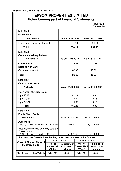# **EPSOM PROPERTIES LIMITED Notes forming part of Financial Statements**

| (Rupees in |  |
|------------|--|
| Thousands) |  |

|                                                                       |                              |                                           |          |                                         | THOUSAHUS)       |  |
|-----------------------------------------------------------------------|------------------------------|-------------------------------------------|----------|-----------------------------------------|------------------|--|
| Note No. 2                                                            |                              |                                           |          |                                         |                  |  |
| <b>Investments</b>                                                    |                              |                                           |          |                                         |                  |  |
| <b>Particulars</b>                                                    |                              | As on 31.03.2022                          |          |                                         | As on 31.03.2021 |  |
| Investment in equity instruments                                      |                              | 334.10                                    |          | 334.10                                  |                  |  |
| <b>Total</b>                                                          |                              | 334.10                                    |          | 334.10                                  |                  |  |
| Note No. 3                                                            |                              |                                           |          |                                         |                  |  |
| <b>Cash and Cash equivalents</b>                                      |                              |                                           |          |                                         |                  |  |
| <b>Particulars</b>                                                    |                              | As on 31.03.2022                          |          | As on 31.03.2021                        |                  |  |
| Cash on hand                                                          |                              |                                           | 4.31     |                                         | 1.87             |  |
| <b>Balance with Bank</b>                                              |                              |                                           |          |                                         |                  |  |
| On current account                                                    |                              |                                           | 82.35    |                                         | 18.63            |  |
| <b>Total</b>                                                          |                              |                                           | 86.65    |                                         | 20.50            |  |
| Note No. 4                                                            |                              |                                           |          |                                         |                  |  |
| <b>Other Current asset</b>                                            |                              |                                           |          |                                         |                  |  |
| <b>Particulars</b>                                                    |                              | As on 31.03.2022                          |          | As on 31.03.2021                        |                  |  |
| Income tax refund receivable                                          |                              |                                           |          |                                         |                  |  |
| Input IGST                                                            |                              |                                           | 145.22   |                                         | 9.00             |  |
| Input CGST                                                            |                              |                                           | 11.82    |                                         | 0.16             |  |
| Input SGST                                                            |                              |                                           | 11.82    |                                         | 0.16             |  |
| <b>Total</b>                                                          |                              |                                           | 168.85   |                                         | 9.32             |  |
| Note No. 5                                                            |                              |                                           |          |                                         |                  |  |
| <b>Equity Share Capital</b>                                           |                              |                                           |          |                                         |                  |  |
| <b>Particulars</b>                                                    |                              | As on 31.03.2022                          |          | As on 31.03.2021                        |                  |  |
| Authorised:<br>1,50,00,000 Equity Shares of Rs. 10/- each             |                              | 1,50,000.00                               |          | 1,50,000.00                             |                  |  |
| Issued, subscribed and fully paid-up<br><b>Share capital</b>          |                              |                                           |          |                                         |                  |  |
| 74,52,800 Equity shares of Rs. 10/- each                              |                              | 74,528.00                                 |          |                                         | 74,528.00        |  |
| Particulars of Shareholders holding more than 5% share in the Company |                              | As on 31.03.2022                          |          |                                         | As on 31.03.2021 |  |
| <b>Class of Shares / Name of</b><br>the Share holder                  | No. of<br><b>Shares Held</b> | % holding in<br>that class of Shares Held |          | No. of<br>% holding in<br>that class of |                  |  |
|                                                                       | (000's)                      | shares                                    | (000's)  |                                         | shares           |  |
| Mrs. Jhansi Lakshmi Vellanki                                          | 4,197.19                     | 56.32                                     | 4,197.19 |                                         | 56.32            |  |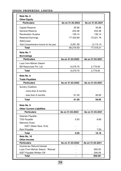| Note No. 6<br><b>Other Equity</b>       |                  |                  |
|-----------------------------------------|------------------|------------------|
| <b>Particulars</b>                      | As on 31.03.2022 | As on 31.03.2021 |
| <b>Capital Reserve</b>                  | 35.96            | 35.96            |
| <b>General Reserve</b>                  | 244.48           | 244.48           |
| <b>Revaluation Surplus</b>              | 136.14           | 136.14           |
| <b>Retained Earnings</b>                | $-77,434.89$     | $-75,321.76$     |
| Add/(Less):                             |                  |                  |
| Total Comprehensive Income for the year | $-3,261.29$      | $-2,113.13$      |
| <b>Total</b>                            | $-80,279.59$     | $-77,018.31$     |
| Note No. 7                              |                  |                  |
| <b>Borrowings</b>                       |                  |                  |
| <b>Particulars</b>                      | As on 31.03.2022 | As on 31.03.2021 |
| Loan from Mohan Swami                   |                  |                  |
| M3 Resources Pvt. Ltd.                  | 6,279.70         | 2,779.00         |
| <b>Total</b>                            | 6,279.70         | 2,779.00         |
| Note No. 8                              |                  |                  |
| <b>Trade Payables</b>                   |                  |                  |
| <b>Particulars</b>                      | As on 31.03.2022 | As on 31.03.2021 |
| <b>Sundry Creditors</b>                 |                  |                  |
| - more than 6 months                    |                  |                  |
| - less than 6 months                    | 61.00            | 58.95            |
| <b>Total</b>                            | 61.00            | 58.95            |
| Note No. 9                              |                  |                  |
| <b>Other Current Liabilities</b>        |                  |                  |
| <b>Particulars</b>                      | As on 31.03.2022 | As on 31.03.2021 |
| Salaries Payable                        |                  |                  |
| <b>TDS Payable</b>                      | 0.50             | 8.69             |
| <b>Statutory Dues:</b>                  |                  |                  |
| IGST (Refer Nore 16.6)                  |                  |                  |
| <b>Rent Payable</b>                     |                  | 7.50             |
| <b>Total</b>                            | 0.50             | 16.19            |
| Note No. 10                             |                  |                  |
| <b>Other Income</b>                     |                  |                  |
| <b>Particulars</b>                      | As on 31.03.2022 | As on 31.03.2021 |
| Income tax Refund Interest              |                  |                  |
| Loan From Mohan Swami - Waived          |                  | 650.00           |
| <b>IGST Payable Written Off</b>         |                  | 206.09           |
| <b>Total</b>                            |                  | 856.09           |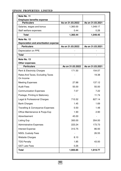| <b>Employee benefits expense</b>              |                  |                  |
|-----------------------------------------------|------------------|------------------|
| <b>Particulars</b>                            | As on 31.03.2022 | As on 31.03.2021 |
| Salaries, wages and bonus                     | 1,360.00         | 1,049.17         |
| Staff welfare expenses                        | 0.44             | 0.28             |
| <b>Total</b>                                  | 1,360.44         | 1,049.45         |
| Note No. 12                                   |                  |                  |
| Depreciation and amortization expense         |                  |                  |
| <b>Particulars</b>                            | As on 31.03.2022 | As on 31.03.2021 |
| Depreciation on PPE                           |                  |                  |
| <b>Total</b>                                  |                  |                  |
| Note No. 13                                   |                  |                  |
| <b>Other expenses</b><br><b>Particulars</b>   |                  | As on 31.03.2021 |
|                                               | As on 31.03.2022 |                  |
| <b>Rent &amp; Electricity Charges</b>         | 171.50           | 154.07           |
| Rates And Taxes, Excluding Taxes<br>On Income |                  | 19.38            |
| <b>Meeting Expenses</b>                       | 27.88            | 137.12           |
| <b>Audit Fees</b>                             | 55.00            | 55.00            |
| <b>Communication Expenses</b>                 | 7.07             | 7.22             |
| Postage, Printing & Stationery                |                  | 11.74            |
| Legal & Professional Charges                  | 715.52           | 827.14           |
| <b>Bank Charges</b>                           | 1.45             | 1.69             |
| Travelling & Conveyance Expenses              | 0.50             | 1.48             |
| Office Maintenance & Pooja Exp                | 1.90             | 2.90             |
| Advertisement                                 | 45.00            |                  |
| Listing Exp                                   | 300.00           | 354.00           |
| <b>Administrative Expenses</b>                | 223.24           | 173.73           |
| Interest Expense                              | 313.75           | 86.93            |
| <b>NSDL Custody Fees</b>                      |                  | 26.55            |
| <b>Website Charges</b>                        | 8.10             |                  |
| <b>TDS Penalty</b>                            | 1.85             | 43.00            |
| <b>GST Late Fees</b>                          | 0.26             |                  |
| <b>Total</b>                                  | 1,900.85         | 1,919.77         |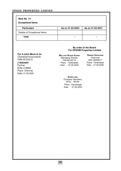| Note No. 14<br><b>Exceptional Items</b> |                  |                  |
|-----------------------------------------|------------------|------------------|
| <b>Particulars</b>                      | As on 31.03.2022 | As on 31.03.2021 |
| Details of Exceptional Items            |                  |                  |
| <b>Total</b>                            |                  | -                |

#### **By order of the Board For EPSOM Properties Limited**

#### **For A John Moris & Co**

Chartered Accountants FRN 007220 S

#### **J Sebastin**

Partner M.No 218962 Place: Chennai Date: 21.05.2022 **MALLOUR RAJESH KUMAR** Managing Director DIN:08125774 Place : Hyderabad Date : 21.05.2022

**RAMESH SATAGOPAN** Chairman DIN: 00935017 Place : Hyderabad Date : 21.05.2022

#### **SURBHI JAIN**

Company Secretary M No. : 58109 Place : Hazaribagh Date : 21.05.2022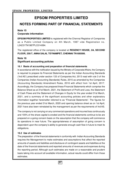# **NOTES FORMING PART OF FINANCIAL STATEMENTS**

## **Note 15**

### **Corporate information**

**EPSOM PROPERTIES LIMITED** is registered with the Chennai Registrar of Companies as a Public Limited Company on 4th March, 1987 vide Registration no. L24231TN1987PLC014084.

The registered office of the company is located at **REGENCY HOUSE, 2A, SECOND FLOOR, 250/7, ANNA SALAI, TEYNAMPET, CHENNAI TN 600006.**

#### **Note 16**

## **Significant accounting policies**

#### **16.1 Basis of accounting and preparation of financial statements**

In accordance with the notification issued by the Ministry of Corporate Affairs, the Company is required to prepare its Financial Statements as per the Indian Accounting Standards ('Ind AS') prescribed under section 133 of Companies Act, 2013 read with rule 3 of the Companies (Indian Accounting Standards) Rules, 2015 as amended by the Companies (Accounting Standards) Amendment Rules, 2016 with effect from 1st April, 2017. Accordingly, the Company has prepared these Financial Statements which comprise the Balance Sheet as at 31st March, 2021, the Statement of Profit and Loss, the Statement of Cash Flows and the Statement of Changes in Equity for the year ended 31st March, 2021, and a summary of the significant accounting policies and other explanatory information together hereinafter referred to as "Financial Statements". The figures for the previous year ended 31st March, 2020 and opening balance sheet as on 1st April, 2021 have also been reinstated by the management as per the requirements of Ind AS.

The company is not carrying on any commercial operations and incurred loss continuously and 100% of the share capital is eroded and the financial statements continue to be are prepared on a going concern basis on the assumption that the company will commence its operations in near future. The appropriateness of assumption of going concern is dependent upon the company's ability to generate enough cash flow in future to meet its obligations.

#### **16.2 Use of estimates**

The preparation of the financial statements in conformity with Indian Accounting Standards requires the Management to make estimates and assumptions that affect the reported amounts of assets and liabilities and disclosure of contingent assets and liabilities at the date of the financial statements and reported amounts of revenues and expenses during the reporting period. Although such estimates are made on a reasonable and prudent basis taking into account all available information, actual results could differ from those estimates.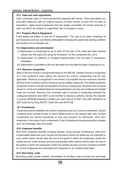#### **16.3 Cash and cash equivalents**

Cash comprises cash on hand and demand deposits with banks. Cash equivalents are short-term balances (with an original maturity of three months or less from the date of acquisition), highly liquid investments that are readily convertible into known amounts of cash and which are subject to insignificant risk of changes in value.

#### **16.4 Property Plant & Equipment**

Fixed assets are stated at cost net of depreciation. The cost of an asset comprises its purchase price and any cost directly attributable for bringing the asset to its working condition and location for its intended use.

#### **16.5 Depreciation and amortisation**

- (i) Depreciation is recognised so as to write off the cost of the asset less their residual values over the useful life using the Schedule II of the Companies Act, 2013.
- (ii) Depreciation on additions is charged proportionately from the date of acquisition/ installation.
- (iii) Depreciation is provided on the pro-rata basis from the date the asset is being put to us.

#### **16.6 Revenue recognition**

Sale of Service Income is recognized based on the IND AS. Interest income is recognised on a time proportion basis taking into account the amount outstanding and the rate applicable. Revenue is recognized to the extent it is probable that the economic benefits will flow to the Company and the revenue can be reliably measured. The following specific recognition criteria must also be met before revenue is recognized, Revenue from contracts priced on a time and material basis are recognised when services are rendered and related costs are incurred. Revenue from overseas sale of service is recognised whereas the undisputed statutory due (GST) is not remitted to statutory authority. Hence, the exporter of service (EPSOM properties Limited) can claim refund of IGST only after remittance to GST Authority by filing GSTR1 (Table 6A) and GSTR 3B.

#### **16.7 Investments**

Investments will be classified into current investments and non-Current investments. Current investments are carried at lower of cost or Market price on the relevant date. Non-Current investments are carried individually at cost less provision for diminution, other than temporary, in the value of such investments. Cost of investments include acquisition charges such as brokerage, fees and duties.

#### **16.8 Employee benefits**

Short term employee benefits including salaries, social security contributions, short term compensated absences (such as paid annual leave) where the absences are expected to occur within twelve months after the end of the period in which the employees render the related service, profit sharing and bonuses payable within twelve months after the end of the period in which the employees render the related services and non-monetary benefits for current employees are estimated and measured on an undiscounted basis.

#### **16.9 Borrowing costs**

Borrowing costs include interest, amortisation of ancillary costs incurred and exchange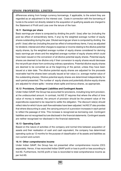differences arising from foreign currency borrowings, if applicable, to the extent they are regarded as an adjustment to the interest cost. Costs in connection with the borrowing of funds to the extent not directly related to the acquisition of qualifying assets are charged to the Statement of Profit and Loss over the tenure of the loan.

#### **16.11 Earnings per share**

Basic earnings per share is computed by dividing the profit / (loss) after tax (including the post tax effect of extraordinary items, if any) by the weighted average number of equity shares outstanding during the year. Diluted earnings per share is computed by dividing the profit / (loss) after tax (including the post tax effect of extraordinary items, if any) as adjusted for dividend, interest and other charges to expense or income relating to the dilutive potential equity shares, by the weighted average number of equity shares considered for deriving basic earnings per share and the weighted average number of equity shares which could have been issued on the conversion of all dilutive potential equity shares. Potential equity shares are deemed to be dilutive only if their conversion to equity shares would decrease the net profit per share from continuing ordinary operations. Potential dilutive equity shares are deemed to be converted as at the beginning of the period, unless they have been issued at a later date. The dilutive potential equity shares are adjusted for the proceeds receivable had the shares been actually issued at fair value (i.e. average market value of the outstanding shares). Dilutive potential equity shares are determined independently for each period presented. The number of equity shares and potentially dilutive equity shares are adjusted for share splits / reverse share splits and bonus shares, as appropriate.

#### **16.12 Provisions, Contingent Liabilities and Contingent Assets**

Under Indian GAAP, the Group has accounted for provisions, including long-term provision, at the undiscounted amount. In contrast, Ind AS 37 requires that where the effect of time value of money is material, the amount of provision should be the present value of the expenditures expected to be required to settle the obligation. The discount rate(s) should reflect risks for which future cash flow estimates have been adjusted. Ind AS 37 also provides that where discounting is used, the carrying amount of a provision increases in each period to reflect the passage of time. This increase is recognized as borrowing cost. Contingent liabilities are not recognised but are disclosed in the financial statements. Contingent assets are neither recognised nor disclosed in the financial statements.

#### **16.13 Operating Cycle**

Based on the nature of activities of the company and normal time between acquisition of assets and their realisation of cash and cash equivalent, the company has determined operating cycle as 12 months for the purpose of classification of its assets and liabilities as non-current and current.

#### **16.14 Other comprehensive income**

Under Indian GAAP, the Group has not presented other comprehensive income (OCI) separately. Hence, it has reconciled Indian GAAP profit or loss to profit or loss according to Ind AS. Furthermore, Ind AS profit or loss is reconciled to total comprehensive income as per Ind AS.